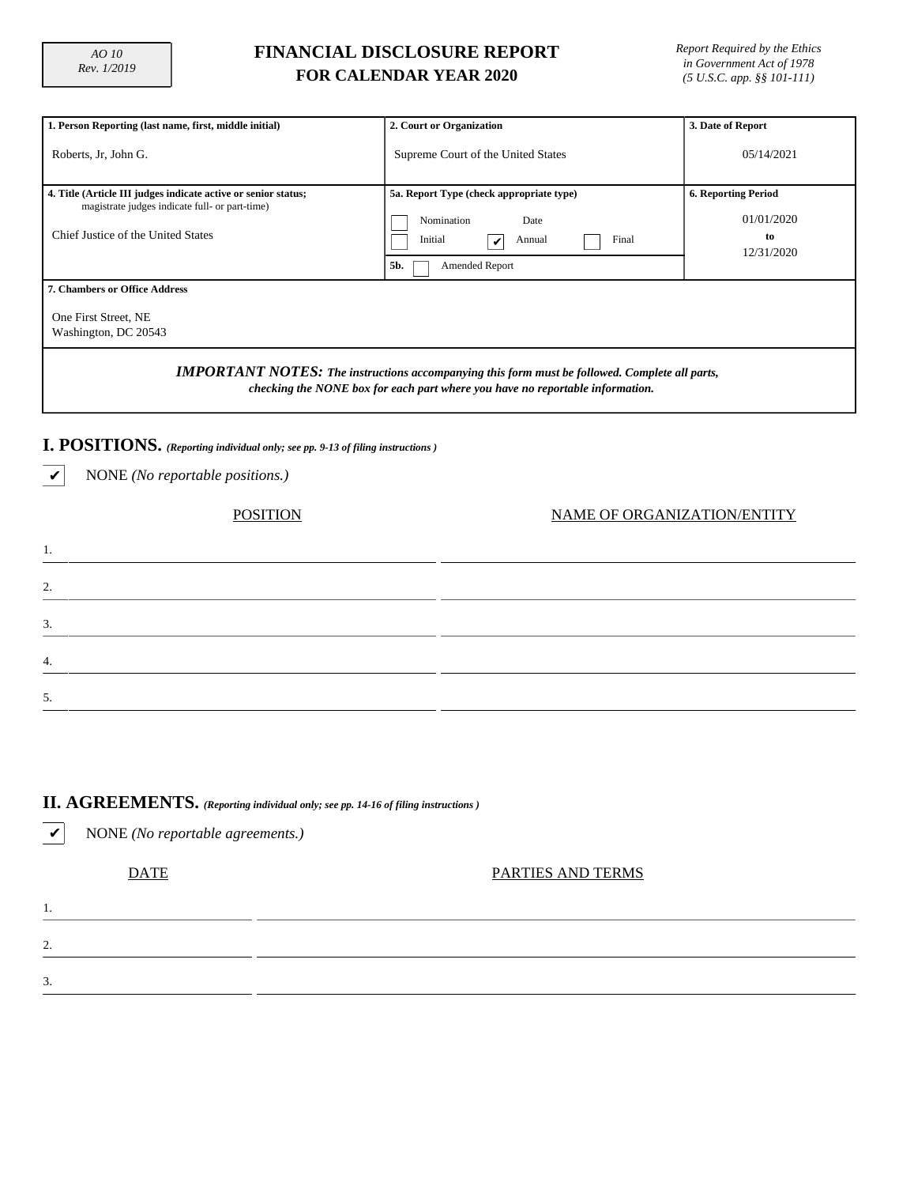1.

2.

3.

4.

5.

## **FINANCIAL DISCLOSURE REPORT FOR CALENDAR YEAR 2020**

*Report Required by the Ethics in Government Act of 1978 (5 U.S.C. app. §§ 101-111)*

| 1. Person Reporting (last name, first, middle initial)                                                                                                                                 | 2. Court or Organization                 | 3. Date of Report          |  |  |  |  |  |  |  |
|----------------------------------------------------------------------------------------------------------------------------------------------------------------------------------------|------------------------------------------|----------------------------|--|--|--|--|--|--|--|
| Roberts, Jr. John G.                                                                                                                                                                   | Supreme Court of the United States       | 05/14/2021                 |  |  |  |  |  |  |  |
| 4. Title (Article III judges indicate active or senior status;<br>magistrate judges indicate full- or part-time)                                                                       | 5a. Report Type (check appropriate type) | <b>6. Reporting Period</b> |  |  |  |  |  |  |  |
|                                                                                                                                                                                        | Nomination<br>Date                       | 01/01/2020                 |  |  |  |  |  |  |  |
| Chief Justice of the United States                                                                                                                                                     | Initial<br>Final<br>Annual<br>✓          | to<br>12/31/2020           |  |  |  |  |  |  |  |
|                                                                                                                                                                                        | 5b.<br>Amended Report                    |                            |  |  |  |  |  |  |  |
| 7. Chambers or Office Address                                                                                                                                                          |                                          |                            |  |  |  |  |  |  |  |
| One First Street, NE<br>Washington, DC 20543                                                                                                                                           |                                          |                            |  |  |  |  |  |  |  |
| <b>IMPORTANT NOTES:</b> The instructions accompanying this form must be followed. Complete all parts,<br>checking the NONE box for each part where you have no reportable information. |                                          |                            |  |  |  |  |  |  |  |
| I. POSITIONS. (Reporting individual only; see pp. 9-13 of filing instructions)                                                                                                         |                                          |                            |  |  |  |  |  |  |  |
| NONE (No reportable positions.)<br>v                                                                                                                                                   |                                          |                            |  |  |  |  |  |  |  |
| NAME OF ORGANIZATION/ENTITY<br>POSITION                                                                                                                                                |                                          |                            |  |  |  |  |  |  |  |

# **II. AGREEMENTS.** *(Reporting individual only; see pp. 14-16 of filing instructions )*

| NONE (No reportable agreements.) |
|----------------------------------|
| PARTIES AND TERMS                |
|                                  |
|                                  |
|                                  |
|                                  |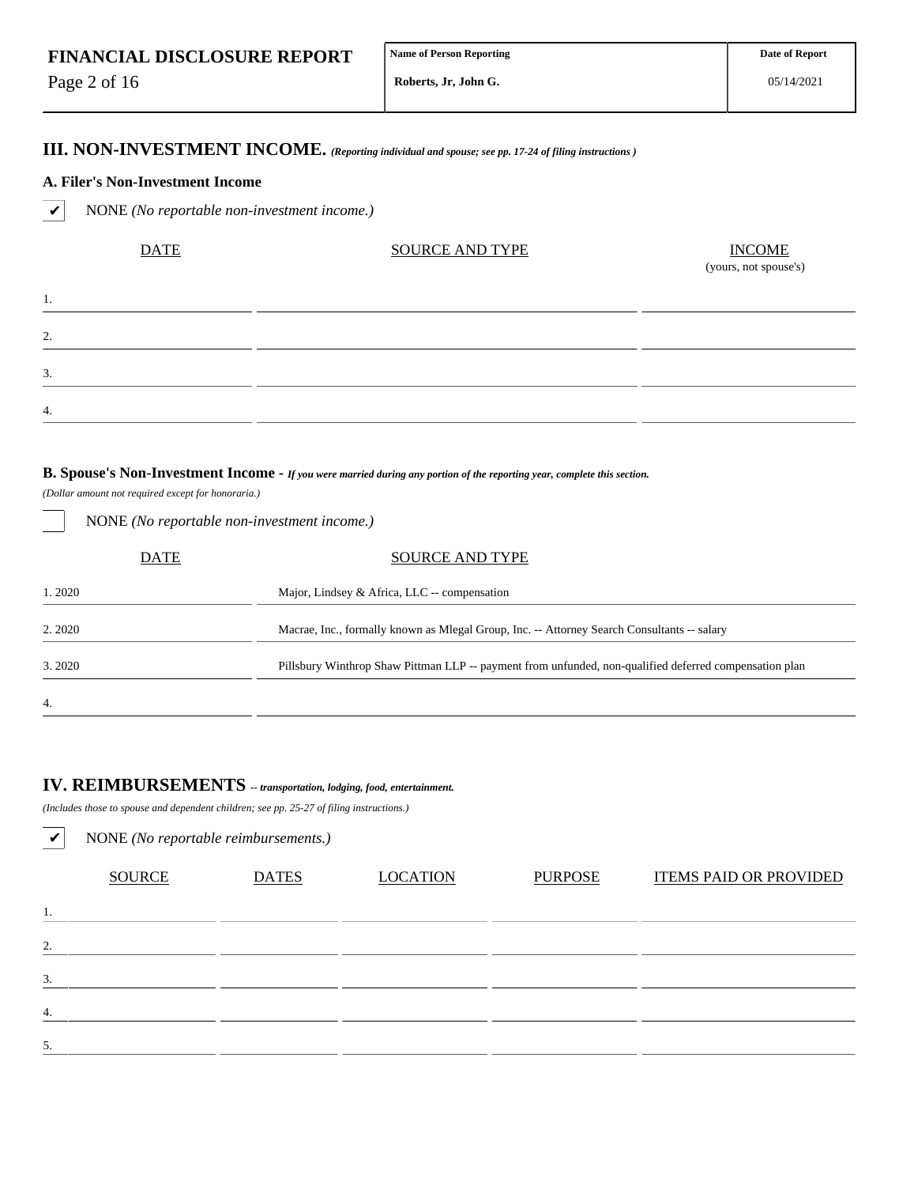Page 2 of 16

1.

2.

3.

4.

05/14/2021

## **III. NON-INVESTMENT INCOME.** *(Reporting individual and spouse; see pp. 17-24 of filing instructions )*

#### **A. Filer's Non-Investment Income**

✔ NONE *(No reportable non-investment income.)*

| <b>DATE</b> | <b>SOURCE AND TYPE</b> | $\frac{INCOME}{(yours, not\,) }$ |
|-------------|------------------------|----------------------------------|
|             |                        |                                  |
|             |                        |                                  |
|             |                        |                                  |
|             |                        |                                  |

#### **B. Spouse's Non-Investment Income -** *If you were married during any portion of the reporting year, complete this section.*

*(Dollar amount not required except for honoraria.)*

NONE *(No reportable non-investment income.)*

|        | DATE | <b>SOURCE AND TYPE</b>                                                                                 |
|--------|------|--------------------------------------------------------------------------------------------------------|
| 1.2020 |      | Major, Lindsey & Africa, LLC -- compensation                                                           |
| 2.2020 |      | Macrae, Inc., formally known as Mlegal Group, Inc. -- Attorney Search Consultants -- salary            |
| 3.2020 |      | Pillsbury Winthrop Shaw Pittman LLP -- payment from unfunded, non-qualified deferred compensation plan |
| 4.     |      |                                                                                                        |

# **IV. REIMBURSEMENTS** *-- transportation, lodging, food, entertainment.*

*(Includes those to spouse and dependent children; see pp. 25-27 of filing instructions.)*

| ✓  | NONE (No reportable reimbursements.) |              |                 |                |                               |  |  |  |  |  |  |
|----|--------------------------------------|--------------|-----------------|----------------|-------------------------------|--|--|--|--|--|--|
|    | <b>SOURCE</b>                        | <b>DATES</b> | <b>LOCATION</b> | <b>PURPOSE</b> | <b>ITEMS PAID OR PROVIDED</b> |  |  |  |  |  |  |
| 1. |                                      |              |                 |                |                               |  |  |  |  |  |  |
| 2. |                                      |              |                 |                |                               |  |  |  |  |  |  |
| 3. |                                      |              |                 |                |                               |  |  |  |  |  |  |
| 4. |                                      |              |                 |                |                               |  |  |  |  |  |  |
| 5. |                                      |              |                 |                |                               |  |  |  |  |  |  |
|    |                                      |              |                 |                |                               |  |  |  |  |  |  |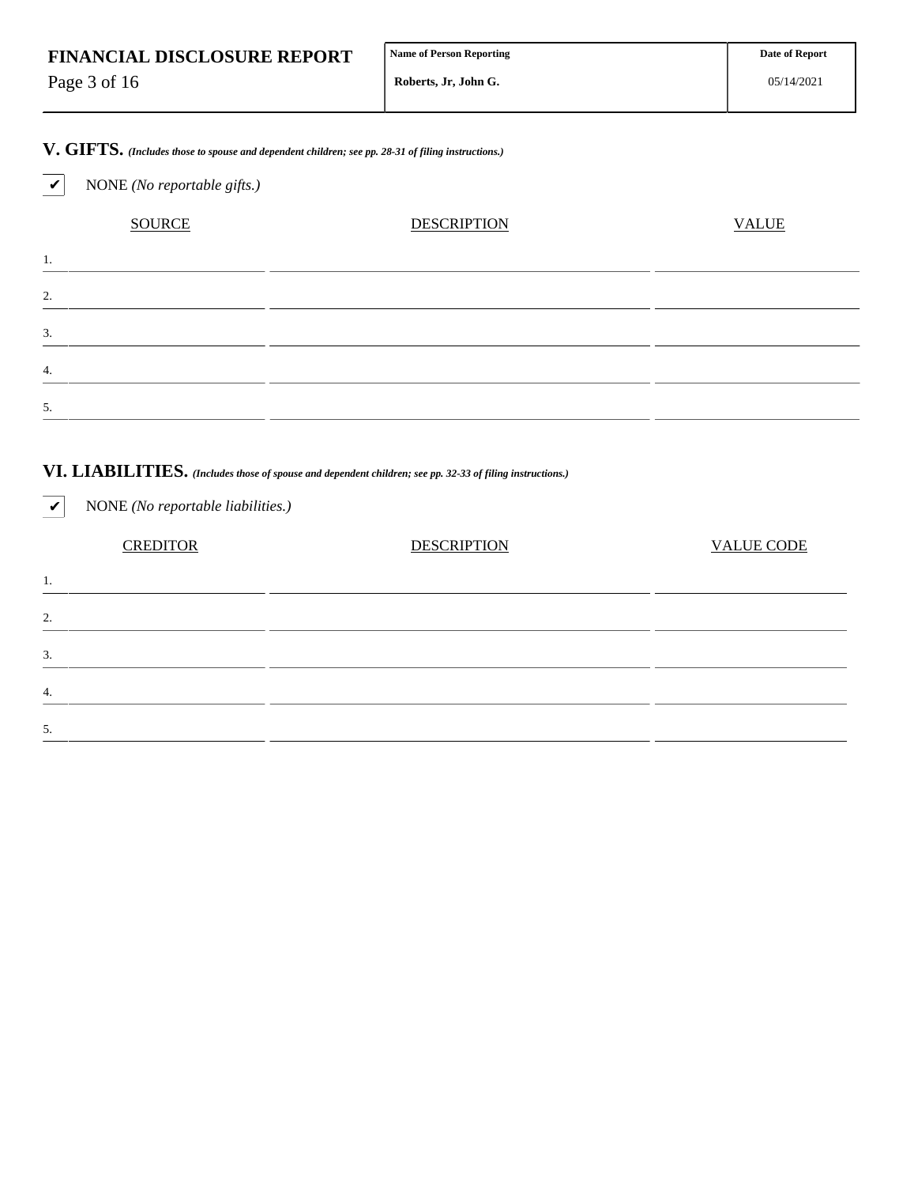| <b>FINANCIAL DISCLOSURE REPORT</b> | <b>Name of Person Reporting</b> |  |
|------------------------------------|---------------------------------|--|
| Page 3 of 16                       | Roberts, Jr, John G.            |  |

**V. GIFTS.** *(Includes those to spouse and dependent children; see pp. 28-31 of filing instructions.)*

✔ NONE *(No reportable gifts.)*

| <b>SOURCE</b> | <b>DESCRIPTION</b> | <b>VALUE</b> |
|---------------|--------------------|--------------|
| .,            |                    |              |
| $\gamma$      |                    |              |
| 3.            |                    |              |
| 4.            |                    |              |
| 5.            |                    |              |

## **VI. LIABILITIES.** *(Includes those of spouse and dependent children; see pp. 32-33 of filing instructions.)*

| $\boldsymbol{\mathcal{U}}$ | NONE (No reportable liabilities.) |                    |                   |
|----------------------------|-----------------------------------|--------------------|-------------------|
|                            | <b>CREDITOR</b>                   | <b>DESCRIPTION</b> | <b>VALUE CODE</b> |
| 1.                         |                                   |                    |                   |
| 2.                         |                                   |                    |                   |
| 3.                         |                                   |                    |                   |
| 4.                         |                                   |                    |                   |
| 5.                         |                                   |                    |                   |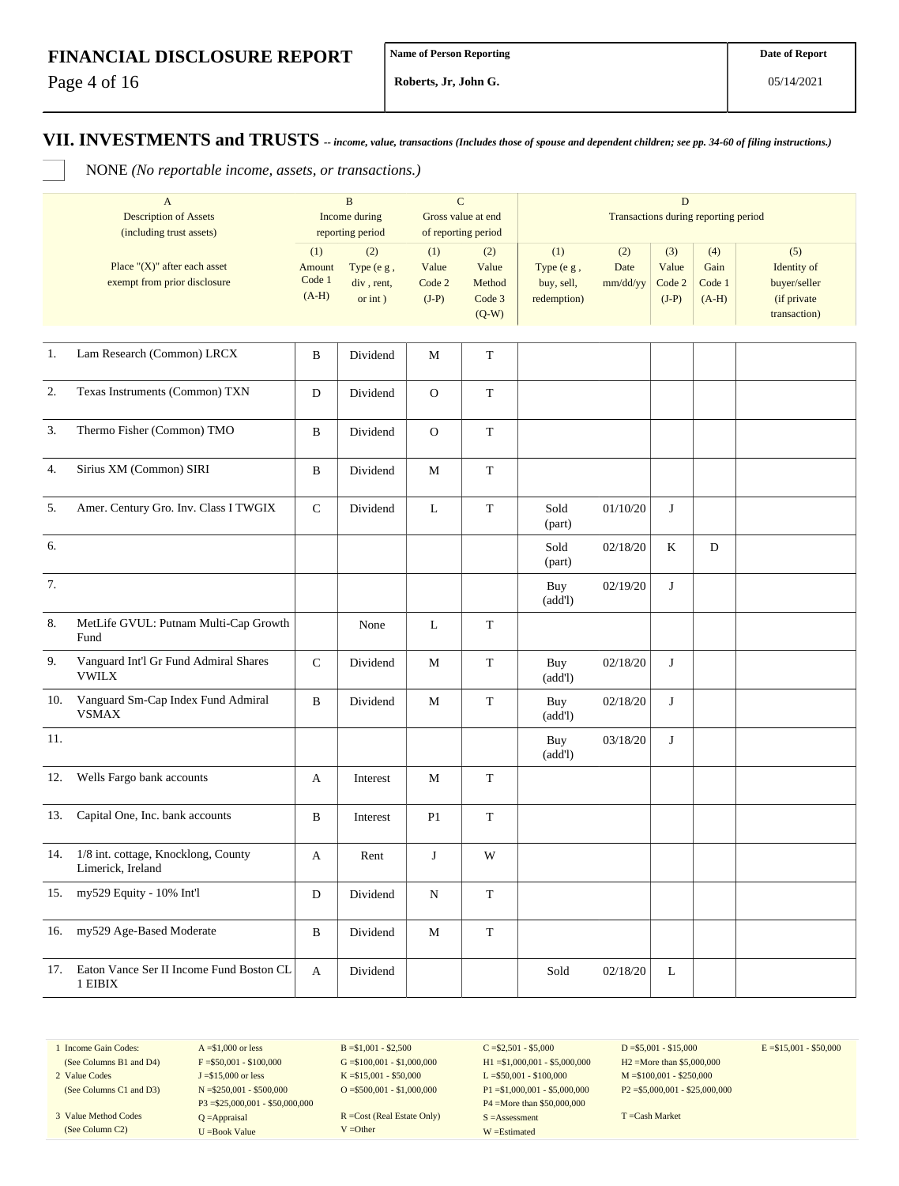Page 4 of 16

**Roberts, Jr, John G.**

**VII. INVESTMENTS and TRUSTS** *-- income, value, transactions (Includes those of spouse and dependent children; see pp. 34-60 of filing instructions.)*

NONE *(No reportable income, assets, or transactions.)*

|         | $\mathbf{A}$<br><b>Description of Assets</b><br>(including trust assets) | $\, {\bf B}$<br>Income during<br>reporting period |                                            | $\mathbf C$<br>Gross value at end<br>of reporting period |                                             | $\mathbf D$<br>Transactions during reporting period |                         |                                   |                                  |                                                                   |
|---------|--------------------------------------------------------------------------|---------------------------------------------------|--------------------------------------------|----------------------------------------------------------|---------------------------------------------|-----------------------------------------------------|-------------------------|-----------------------------------|----------------------------------|-------------------------------------------------------------------|
|         | Place " $(X)$ " after each asset<br>exempt from prior disclosure         | (1)<br>Amount<br>Code 1<br>$(A-H)$                | (2)<br>Type (e g,<br>div, rent,<br>or int) | (1)<br>Value<br>Code 2<br>$(J-P)$                        | (2)<br>Value<br>Method<br>Code 3<br>$(Q-W)$ | (1)<br>Type (e g,<br>buy, sell,<br>redemption)      | (2)<br>Date<br>mm/dd/yy | (3)<br>Value<br>Code 2<br>$(J-P)$ | (4)<br>Gain<br>Code 1<br>$(A-H)$ | (5)<br>Identity of<br>buyer/seller<br>(if private<br>transaction) |
| 1.      | Lam Research (Common) LRCX                                               | $\, {\bf B}$                                      | Dividend                                   | M                                                        | $\mathbf T$                                 |                                                     |                         |                                   |                                  |                                                                   |
| 2.      | Texas Instruments (Common) TXN                                           | D                                                 | Dividend                                   | $\mathbf{O}$                                             | $\mathbf T$                                 |                                                     |                         |                                   |                                  |                                                                   |
| 3.      | Thermo Fisher (Common) TMO                                               | B                                                 | Dividend                                   | ${\rm O}$                                                | $\mathbf T$                                 |                                                     |                         |                                   |                                  |                                                                   |
| 4.      | Sirius XM (Common) SIRI                                                  | B                                                 | Dividend                                   | M                                                        | $\mathbf T$                                 |                                                     |                         |                                   |                                  |                                                                   |
| 5.      | Amer. Century Gro. Inv. Class I TWGIX                                    | ${\bf C}$                                         | Dividend                                   | L                                                        | $\mathbf T$                                 | Sold<br>(part)                                      | 01/10/20                | J                                 |                                  |                                                                   |
| 6.      |                                                                          |                                                   |                                            |                                                          |                                             | Sold<br>(part)                                      | 02/18/20                | K                                 | D                                |                                                                   |
| 7.      |                                                                          |                                                   |                                            |                                                          |                                             | Buy<br>(add!)                                       | 02/19/20                | J                                 |                                  |                                                                   |
| $8. \,$ | MetLife GVUL: Putnam Multi-Cap Growth<br>Fund                            |                                                   | None                                       | L                                                        | T                                           |                                                     |                         |                                   |                                  |                                                                   |
| 9.      | Vanguard Int'l Gr Fund Admiral Shares<br><b>VWILX</b>                    | $\mathsf{C}$                                      | Dividend                                   | M                                                        | $\mathbf T$                                 | Buy<br>(add!)                                       | 02/18/20                | J                                 |                                  |                                                                   |
| 10.     | Vanguard Sm-Cap Index Fund Admiral<br><b>VSMAX</b>                       | B                                                 | Dividend                                   | M                                                        | $\mathbf T$                                 | Buy<br>(add!)                                       | 02/18/20                | J                                 |                                  |                                                                   |
| 11.     |                                                                          |                                                   |                                            |                                                          |                                             | Buy<br>(add!)                                       | 03/18/20                | J                                 |                                  |                                                                   |
| 12.     | Wells Fargo bank accounts                                                | A                                                 | Interest                                   | M                                                        | $\mathbf T$                                 |                                                     |                         |                                   |                                  |                                                                   |
| 13.     | Capital One, Inc. bank accounts                                          | B                                                 | Interest                                   | P <sub>1</sub>                                           | $\mathbf T$                                 |                                                     |                         |                                   |                                  |                                                                   |
| 14.     | 1/8 int. cottage, Knocklong, County<br>Limerick, Ireland                 | A                                                 | Rent                                       | $\bf J$                                                  | W                                           |                                                     |                         |                                   |                                  |                                                                   |
| 15.     | my529 Equity - 10% Int'l                                                 | ${\rm D}$                                         | Dividend                                   | ${\bf N}$                                                | $\mathbf T$                                 |                                                     |                         |                                   |                                  |                                                                   |
| 16.     | my529 Age-Based Moderate                                                 | $\, {\bf B}$                                      | Dividend                                   | M                                                        | $\mathbf T$                                 |                                                     |                         |                                   |                                  |                                                                   |
| 17.     | Eaton Vance Ser II Income Fund Boston CL<br>1 EIBIX                      | A                                                 | Dividend                                   |                                                          |                                             | Sold                                                | 02/18/20                | L                                 |                                  |                                                                   |

1 Income Gain Codes:

(See Columns C1 and D3) 3 Value Method Codes (See Column C2)

(See Columns B1 and D4) 2 Value Codes

 $F = $50,001 - $100,000$ J =\$15,000 or less N =\$250,001 - \$500,000 P3 =\$25,000,001 - \$50,000,000 Q =Appraisal U =Book Value

 $A = $1,000$  or less

 $B = $1,001 - $2,500$  $G = $100,001 - $1,000,000$ K =\$15,001 - \$50,000  $O = $500,001 - $1,000,000$ 

R =Cost (Real Estate Only) V =Other

 $C = $2,501 - $5,000$ H1 =\$1,000,001 - \$5,000,000 L =\$50,001 - \$100,000 P1 =\$1,000,001 - \$5,000,000 P4 =More than \$50,000,000 S =Assessment W =Estimated

 $D = $5,001 - $15,000$ H2 =More than \$5,000,000 M =\$100,001 - \$250,000 P2 =\$5,000,001 - \$25,000,000  $E = $15,001 - $50,000$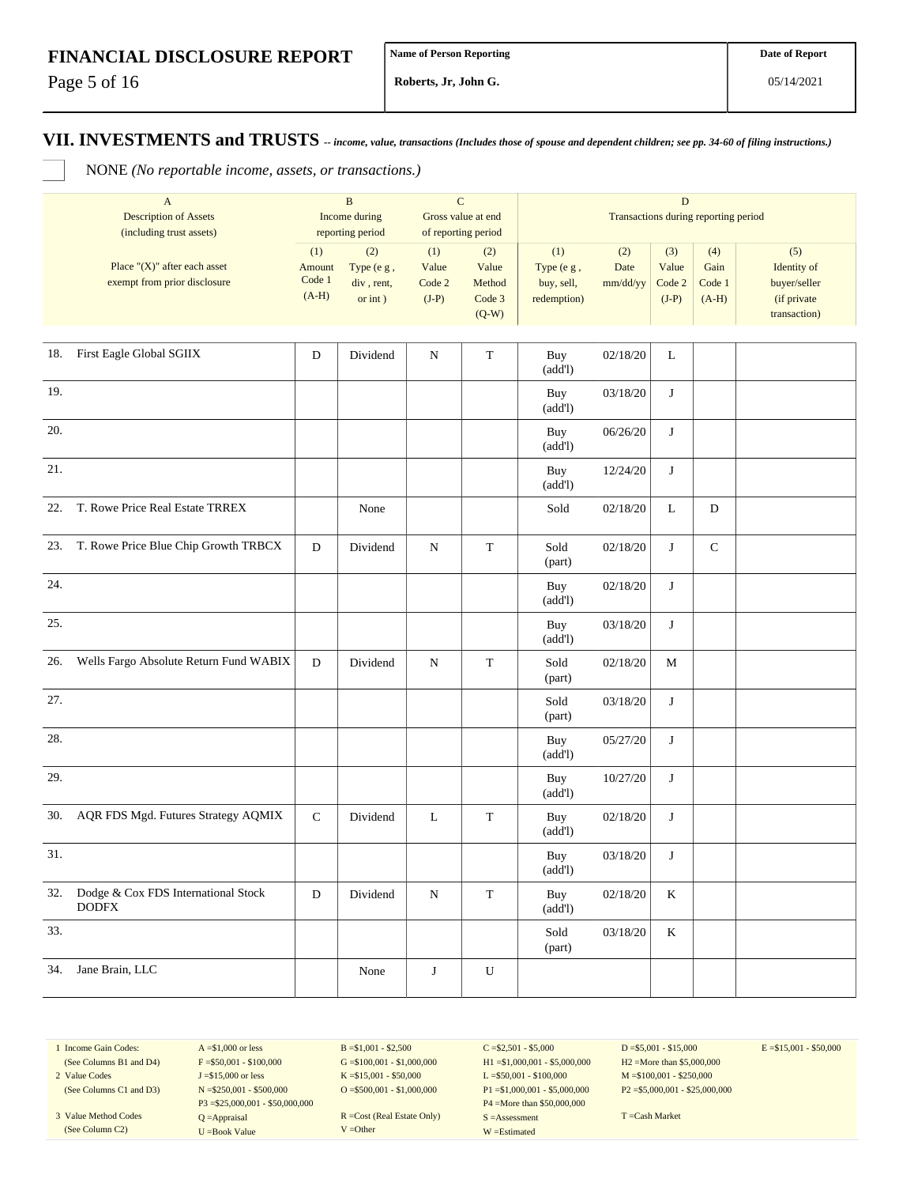Page 5 of 16

**Roberts, Jr, John G.**

**VII. INVESTMENTS and TRUSTS** *-- income, value, transactions (Includes those of spouse and dependent children; see pp. 34-60 of filing instructions.)*

NONE *(No reportable income, assets, or transactions.)*

|     | $\mathbf{A}$<br><b>Description of Assets</b><br>(including trust assets) | $\, {\bf B}$<br>Income during<br>reporting period |                                               | $\mathbf C$<br>Gross value at end<br>of reporting period |                                             | $\mathbf D$<br>Transactions during reporting period |                         |                                   |                                  |                                                                   |
|-----|--------------------------------------------------------------------------|---------------------------------------------------|-----------------------------------------------|----------------------------------------------------------|---------------------------------------------|-----------------------------------------------------|-------------------------|-----------------------------------|----------------------------------|-------------------------------------------------------------------|
|     | Place " $(X)$ " after each asset<br>exempt from prior disclosure         | (1)<br>Amount<br>Code 1<br>$(A-H)$                | (2)<br>Type (e g,<br>div, rent,<br>or $int$ ) | (1)<br>Value<br>Code 2<br>$(J-P)$                        | (2)<br>Value<br>Method<br>Code 3<br>$(Q-W)$ | (1)<br>Type (e g,<br>buy, sell,<br>redemption)      | (2)<br>Date<br>mm/dd/yy | (3)<br>Value<br>Code 2<br>$(J-P)$ | (4)<br>Gain<br>Code 1<br>$(A-H)$ | (5)<br>Identity of<br>buyer/seller<br>(if private<br>transaction) |
|     | 18. First Eagle Global SGIIX                                             | D                                                 | Dividend                                      | ${\bf N}$                                                | $\mathbf T$                                 | Buy<br>(add!)                                       | 02/18/20                | L                                 |                                  |                                                                   |
| 19. |                                                                          |                                                   |                                               |                                                          |                                             | Buy<br>(add!)                                       | 03/18/20                | J                                 |                                  |                                                                   |
| 20. |                                                                          |                                                   |                                               |                                                          |                                             | Buy<br>(add!)                                       | 06/26/20                | J                                 |                                  |                                                                   |
| 21. |                                                                          |                                                   |                                               |                                                          |                                             | Buy<br>(add!)                                       | 12/24/20                | $\bf J$                           |                                  |                                                                   |
| 22. | T. Rowe Price Real Estate TRREX                                          |                                                   | None                                          |                                                          |                                             | Sold                                                | 02/18/20                | L                                 | $\mathbf D$                      |                                                                   |
|     | 23. T. Rowe Price Blue Chip Growth TRBCX                                 | ${\rm D}$                                         | Dividend                                      | ${\bf N}$                                                | $\mathbf T$                                 | Sold<br>(part)                                      | 02/18/20                | J                                 | ${\bf C}$                        |                                                                   |
| 24. |                                                                          |                                                   |                                               |                                                          |                                             | Buy<br>(add!)                                       | 02/18/20                | J                                 |                                  |                                                                   |
| 25. |                                                                          |                                                   |                                               |                                                          |                                             | Buy<br>(add!)                                       | 03/18/20                | J                                 |                                  |                                                                   |
| 26. | Wells Fargo Absolute Return Fund WABIX                                   | D                                                 | Dividend                                      | ${\bf N}$                                                | $\mathbf T$                                 | Sold<br>(part)                                      | 02/18/20                | M                                 |                                  |                                                                   |
| 27. |                                                                          |                                                   |                                               |                                                          |                                             | Sold<br>(part)                                      | 03/18/20                | J                                 |                                  |                                                                   |
| 28. |                                                                          |                                                   |                                               |                                                          |                                             | Buy<br>(add!)                                       | 05/27/20                | J                                 |                                  |                                                                   |
| 29. |                                                                          |                                                   |                                               |                                                          |                                             | Buy<br>(add!)                                       | 10/27/20                | $\bf J$                           |                                  |                                                                   |
| 30. | AQR FDS Mgd. Futures Strategy AQMIX                                      | ${\bf C}$                                         | Dividend                                      | L                                                        | $\mathbf T$                                 | Buy<br>(add!)                                       | 02/18/20                | $\bf J$                           |                                  |                                                                   |
| 31. |                                                                          |                                                   |                                               |                                                          |                                             | Buy<br>(add!)                                       | 03/18/20                | J                                 |                                  |                                                                   |
|     | 32. Dodge & Cox FDS International Stock<br><b>DODFX</b>                  | ${\bf D}$                                         | Dividend                                      | ${\bf N}$                                                | $\mathbf T$                                 | Buy<br>(add!)                                       | 02/18/20                | $\rm K$                           |                                  |                                                                   |
| 33. |                                                                          |                                                   |                                               |                                                          |                                             | Sold<br>(part)                                      | 03/18/20                | $\rm K$                           |                                  |                                                                   |
| 34. | Jane Brain, LLC                                                          |                                                   | None                                          | $\bf J$                                                  | ${\bf U}$                                   |                                                     |                         |                                   |                                  |                                                                   |

1 Income Gain Codes: (See Columns B1 and D4)

2 Value Codes

(See Columns C1 and D3) 3 Value Method Codes (See Column C2)

 $F = $50,001 - $100,000$ J =\$15,000 or less N =\$250,001 - \$500,000 P3 =\$25,000,001 - \$50,000,000 Q =Appraisal U =Book Value

 $A = $1,000$  or less

 $B = $1,001 - $2,500$  $G = $100,001 - $1,000,000$ K =\$15,001 - \$50,000 O =  $$500,001 - $1,000,000$ 

R =Cost (Real Estate Only) V =Other

 $C = $2,501 - $5,000$ H1 =\$1,000,001 - \$5,000,000 L =\$50,001 - \$100,000 P1 =\$1,000,001 - \$5,000,000 P4 =More than \$50,000,000 S =Assessment W =Estimated

 $D = $5,001 - $15,000$ H2 =More than \$5,000,000 M =\$100,001 - \$250,000 P2 =\$5,000,001 - \$25,000,000  $E = $15,001 - $50,000$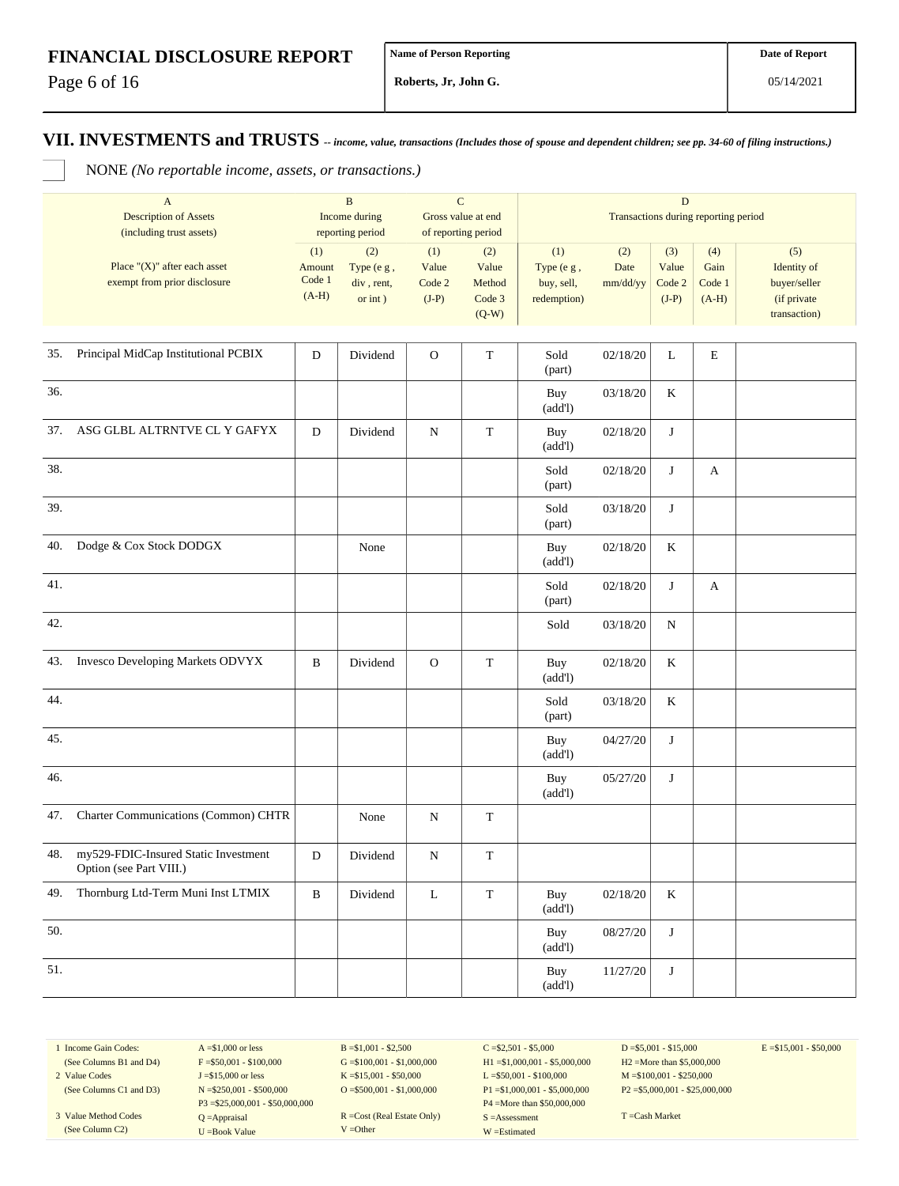Page 6 of 16

**Roberts, Jr, John G.**

#### **VII. INVESTMENTS and TRUSTS** *-- income, value, transactions (Includes those of spouse and dependent children; see pp. 34-60 of filing instructions.)*

NONE *(No reportable income, assets, or transactions.)*

|     | $\mathbf{A}$<br><b>Description of Assets</b><br>(including trust assets) |                                    | $\, {\bf B}$<br>Income during<br>reporting period |                                   | $\mathbf C$<br>Gross value at end<br>of reporting period |                                                | $\mathbf D$<br>Transactions during reporting period |                                   |                                  |                                                                   |
|-----|--------------------------------------------------------------------------|------------------------------------|---------------------------------------------------|-----------------------------------|----------------------------------------------------------|------------------------------------------------|-----------------------------------------------------|-----------------------------------|----------------------------------|-------------------------------------------------------------------|
|     | Place " $(X)$ " after each asset<br>exempt from prior disclosure         | (1)<br>Amount<br>Code 1<br>$(A-H)$ | (2)<br>Type (e g,<br>div, rent,<br>or $int$ )     | (1)<br>Value<br>Code 2<br>$(J-P)$ | (2)<br>Value<br>Method<br>Code 3<br>$(Q-W)$              | (1)<br>Type (e g,<br>buy, sell,<br>redemption) | (2)<br>Date<br>mm/dd/yy                             | (3)<br>Value<br>Code 2<br>$(J-P)$ | (4)<br>Gain<br>Code 1<br>$(A-H)$ | (5)<br>Identity of<br>buyer/seller<br>(if private<br>transaction) |
| 35. | Principal MidCap Institutional PCBIX                                     | ${\bf D}$                          | Dividend                                          | $\mathbf O$                       | ${\bf T}$                                                | Sold<br>(part)                                 | 02/18/20                                            | L                                 | E                                |                                                                   |
| 36. |                                                                          |                                    |                                                   |                                   |                                                          | Buy<br>(add!)                                  | 03/18/20                                            | $\rm K$                           |                                  |                                                                   |
| 37. | ASG GLBL ALTRNTVE CL Y GAFYX                                             | D                                  | Dividend                                          | ${\bf N}$                         | $\mathbf T$                                              | Buy<br>(add!)                                  | 02/18/20                                            | $\bf J$                           |                                  |                                                                   |
| 38. |                                                                          |                                    |                                                   |                                   |                                                          | Sold<br>(part)                                 | 02/18/20                                            | J                                 | A                                |                                                                   |
| 39. |                                                                          |                                    |                                                   |                                   |                                                          | Sold<br>(part)                                 | 03/18/20                                            | $\bf J$                           |                                  |                                                                   |
| 40. | Dodge & Cox Stock DODGX                                                  |                                    | None                                              |                                   |                                                          | Buy<br>(add!)                                  | 02/18/20                                            | $\bf K$                           |                                  |                                                                   |
| 41. |                                                                          |                                    |                                                   |                                   |                                                          | Sold<br>(part)                                 | 02/18/20                                            | $\bf J$                           | A                                |                                                                   |
| 42. |                                                                          |                                    |                                                   |                                   |                                                          | Sold                                           | 03/18/20                                            | N                                 |                                  |                                                                   |
| 43. | Invesco Developing Markets ODVYX                                         | B                                  | Dividend                                          | ${\rm O}$                         | $\mathbf T$                                              | Buy<br>(add!)                                  | 02/18/20                                            | $\rm K$                           |                                  |                                                                   |
| 44. |                                                                          |                                    |                                                   |                                   |                                                          | Sold<br>(part)                                 | 03/18/20                                            | $\bf K$                           |                                  |                                                                   |
| 45. |                                                                          |                                    |                                                   |                                   |                                                          | Buy<br>(add!)                                  | 04/27/20                                            | $\bf J$                           |                                  |                                                                   |
| 46. |                                                                          |                                    |                                                   |                                   |                                                          | Buy<br>(add!)                                  | 05/27/20                                            | $\bf J$                           |                                  |                                                                   |
| 47. | Charter Communications (Common) CHTR                                     |                                    | None                                              | ${\bf N}$                         | $\mathbf T$                                              |                                                |                                                     |                                   |                                  |                                                                   |
| 48. | my529-FDIC-Insured Static Investment<br>Option (see Part VIII.)          | $\mathbf D$                        | Dividend                                          | N                                 | T                                                        |                                                |                                                     |                                   |                                  |                                                                   |
| 49. | Thornburg Ltd-Term Muni Inst LTMIX                                       | $\, {\bf B}$                       | Dividend                                          | L                                 | $\mathbf T$                                              | Buy<br>(add!)                                  | 02/18/20                                            | $\mathbf K$                       |                                  |                                                                   |
| 50. |                                                                          |                                    |                                                   |                                   |                                                          | Buy<br>(add!)                                  | 08/27/20                                            | $\bf J$                           |                                  |                                                                   |
| 51. |                                                                          |                                    |                                                   |                                   |                                                          | Buy<br>(add!)                                  | 11/27/20                                            | $\bf J$                           |                                  |                                                                   |

1 Income Gain Codes: (See Columns B1 and D4) 2 Value Codes

(See Columns C1 and D3)

3 Value Method Codes (See Column C2)

 $A = $1,000$  or less  $F = $50,001 - $100,000$ J =\$15,000 or less N =\$250,001 - \$500,000 P3 =\$25,000,001 - \$50,000,000 Q =Appraisal U =Book Value

 $B = $1,001 - $2,500$  $G = $100,001 - $1,000,000$ K =\$15,001 - \$50,000 O =  $$500,001 - $1,000,000$ 

R =Cost (Real Estate Only) V =Other

 $C = $2,501 - $5,000$ H1 =\$1,000,001 - \$5,000,000 L =\$50,001 - \$100,000 P1 =\$1,000,001 - \$5,000,000 P4 =More than \$50,000,000 S =Assessment W =Estimated

 $D = $5,001 - $15,000$ H2 =More than \$5,000,000 M =\$100,001 - \$250,000 P2 =\$5,000,001 - \$25,000,000

T =Cash Market

 $E = $15,001 - $50,000$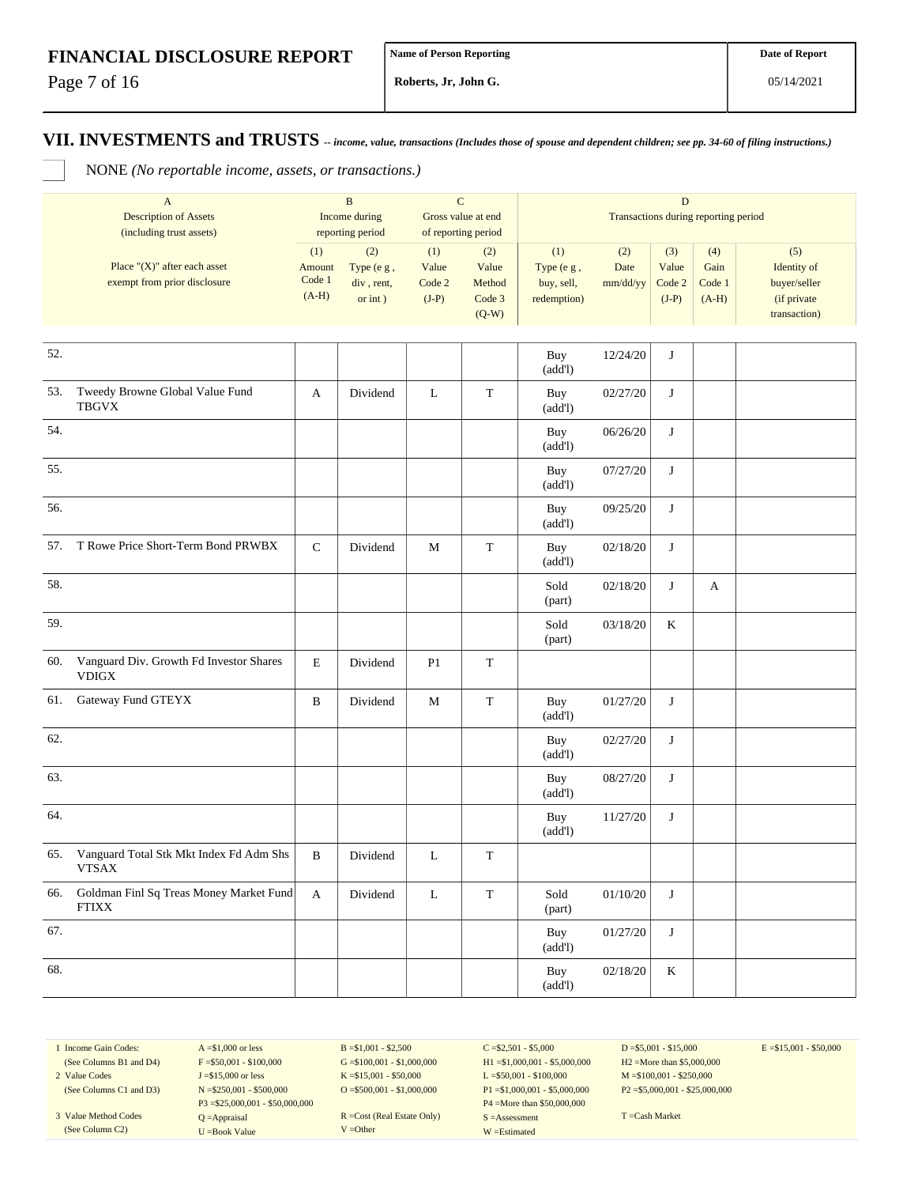Page 7 of 16

**Roberts, Jr, John G.**

**VII. INVESTMENTS and TRUSTS** *-- income, value, transactions (Includes those of spouse and dependent children; see pp. 34-60 of filing instructions.)*

NONE *(No reportable income, assets, or transactions.)*

| $\mathbf{A}$<br><b>Description of Assets</b> |                                                                  |                                    | ${\bf C}$<br>$\, {\bf B}$<br>Income during<br>Gross value at end |                                   |                                             | $\mathbf D$                                    |                         |                                   |                                  |                                                                   |  |
|----------------------------------------------|------------------------------------------------------------------|------------------------------------|------------------------------------------------------------------|-----------------------------------|---------------------------------------------|------------------------------------------------|-------------------------|-----------------------------------|----------------------------------|-------------------------------------------------------------------|--|
|                                              | (including trust assets)                                         |                                    | reporting period                                                 | of reporting period               |                                             | Transactions during reporting period           |                         |                                   |                                  |                                                                   |  |
|                                              | Place " $(X)$ " after each asset<br>exempt from prior disclosure | (1)<br>Amount<br>Code 1<br>$(A-H)$ | (2)<br>Type (e g,<br>div, rent,<br>or $int$ )                    | (1)<br>Value<br>Code 2<br>$(J-P)$ | (2)<br>Value<br>Method<br>Code 3<br>$(Q-W)$ | (1)<br>Type (e g,<br>buy, sell,<br>redemption) | (2)<br>Date<br>mm/dd/yy | (3)<br>Value<br>Code 2<br>$(J-P)$ | (4)<br>Gain<br>Code 1<br>$(A-H)$ | (5)<br>Identity of<br>buyer/seller<br>(if private<br>transaction) |  |
| 52.                                          |                                                                  |                                    |                                                                  |                                   |                                             | Buy<br>(add!)                                  | 12/24/20                | J                                 |                                  |                                                                   |  |
| 53.                                          | Tweedy Browne Global Value Fund<br><b>TBGVX</b>                  | A                                  | Dividend                                                         | $\mathbf L$                       | $\mathbf T$                                 | Buy<br>(add!)                                  | 02/27/20                | J                                 |                                  |                                                                   |  |
| 54.                                          |                                                                  |                                    |                                                                  |                                   |                                             | Buy<br>(add!)                                  | 06/26/20                | J                                 |                                  |                                                                   |  |
| 55.                                          |                                                                  |                                    |                                                                  |                                   |                                             | Buy<br>(add!)                                  | 07/27/20                | J                                 |                                  |                                                                   |  |
| 56.                                          |                                                                  |                                    |                                                                  |                                   |                                             | Buy<br>(add!)                                  | 09/25/20                | J                                 |                                  |                                                                   |  |
| 57.                                          | T Rowe Price Short-Term Bond PRWBX                               | ${\bf C}$                          | Dividend                                                         | M                                 | $\mathbf T$                                 | Buy<br>(add!)                                  | 02/18/20                | J                                 |                                  |                                                                   |  |
| 58.                                          |                                                                  |                                    |                                                                  |                                   |                                             | Sold<br>(part)                                 | 02/18/20                | J                                 | A                                |                                                                   |  |
| 59.                                          |                                                                  |                                    |                                                                  |                                   |                                             | Sold<br>(part)                                 | 03/18/20                | K                                 |                                  |                                                                   |  |
| 60.                                          | Vanguard Div. Growth Fd Investor Shares<br><b>VDIGX</b>          | $\mathbf E$                        | Dividend                                                         | P <sub>1</sub>                    | $\mathbf T$                                 |                                                |                         |                                   |                                  |                                                                   |  |
| 61.                                          | Gateway Fund GTEYX                                               | $\, {\bf B}$                       | Dividend                                                         | M                                 | $\mathbf T$                                 | Buy<br>(add!)                                  | 01/27/20                | J                                 |                                  |                                                                   |  |
| 62.                                          |                                                                  |                                    |                                                                  |                                   |                                             | Buy<br>(add!)                                  | 02/27/20                | J                                 |                                  |                                                                   |  |
| 63.                                          |                                                                  |                                    |                                                                  |                                   |                                             | Buy<br>(add!)                                  | 08/27/20                | J                                 |                                  |                                                                   |  |
| 64.                                          |                                                                  |                                    |                                                                  |                                   |                                             | Buy<br>(add!)                                  | 11/27/20                | J                                 |                                  |                                                                   |  |
| 65.                                          | Vanguard Total Stk Mkt Index Fd Adm Shs<br><b>VTSAX</b>          | B                                  | Dividend                                                         | L                                 | T                                           |                                                |                         |                                   |                                  |                                                                   |  |
| 66.                                          | Goldman Finl Sq Treas Money Market Fund<br><b>FTIXX</b>          | A                                  | Dividend                                                         | $\mathbf L$                       | $\mathbf T$                                 | Sold<br>(part)                                 | 01/10/20                | J                                 |                                  |                                                                   |  |
| 67.                                          |                                                                  |                                    |                                                                  |                                   |                                             | Buy<br>(add!)                                  | 01/27/20                | $\mathbf{J}$                      |                                  |                                                                   |  |
| 68.                                          |                                                                  |                                    |                                                                  |                                   |                                             | Buy<br>(add!)                                  | 02/18/20                | $\rm K$                           |                                  |                                                                   |  |

1 Income Gain Codes: (See Columns B1 and D4) 2 Value Codes

(See Columns C1 and D3)

3 Value Method Codes (See Column C2)

 $A = $1,000$  or less  $F = $50,001 - $100,000$ J =\$15,000 or less N =\$250,001 - \$500,000 P3 =\$25,000,001 - \$50,000,000 Q =Appraisal U =Book Value

B =\$1,001 - \$2,500  $G = $100,001 - $1,000,000$ K =\$15,001 - \$50,000 O =  $$500,001 - $1,000,000$ 

R =Cost (Real Estate Only) V =Other

 $C = $2,501 - $5,000$ H1 =\$1,000,001 - \$5,000,000 L =\$50,001 - \$100,000 P1 =\$1,000,001 - \$5,000,000 P4 =More than \$50,000,000 S =Assessment W =Estimated

 $D = $5,001 - $15,000$ H2 =More than \$5,000,000 M =\$100,001 - \$250,000 P2 =\$5,000,001 - \$25,000,000  $E = $15,001 - $50,000$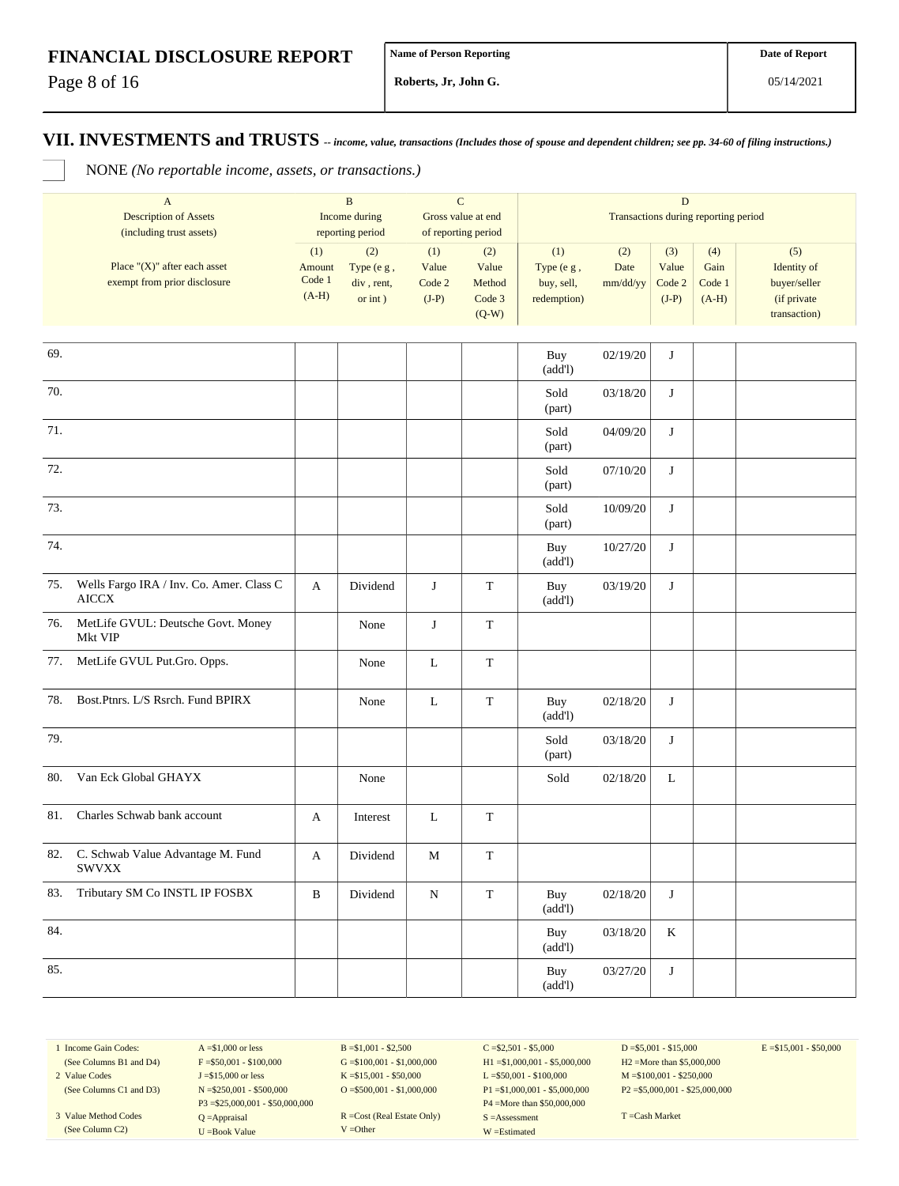Page 8 of 16

**Roberts, Jr, John G.**

#### **VII. INVESTMENTS and TRUSTS** *-- income, value, transactions (Includes those of spouse and dependent children; see pp. 34-60 of filing instructions.)*

NONE *(No reportable income, assets, or transactions.)*

|     | $\boldsymbol{\mathsf{A}}$<br><b>Description of Assets</b>        |                                    | $\, {\bf B}$<br>Income during                 |                                   | $\mathbf C$<br>Gross value at end           | $\mathbf D$<br>Transactions during reporting period |                         |                                   |                                  |                                                                   |  |
|-----|------------------------------------------------------------------|------------------------------------|-----------------------------------------------|-----------------------------------|---------------------------------------------|-----------------------------------------------------|-------------------------|-----------------------------------|----------------------------------|-------------------------------------------------------------------|--|
|     | (including trust assets)                                         |                                    | reporting period                              |                                   | of reporting period                         |                                                     |                         |                                   |                                  |                                                                   |  |
|     | Place " $(X)$ " after each asset<br>exempt from prior disclosure | (1)<br>Amount<br>Code 1<br>$(A-H)$ | (2)<br>Type (e g,<br>div, rent,<br>or $int$ ) | (1)<br>Value<br>Code 2<br>$(J-P)$ | (2)<br>Value<br>Method<br>Code 3<br>$(Q-W)$ | (1)<br>Type (e g,<br>buy, sell,<br>redemption)      | (2)<br>Date<br>mm/dd/yy | (3)<br>Value<br>Code 2<br>$(J-P)$ | (4)<br>Gain<br>Code 1<br>$(A-H)$ | (5)<br>Identity of<br>buyer/seller<br>(if private<br>transaction) |  |
| 69. |                                                                  |                                    |                                               |                                   |                                             | Buy                                                 | 02/19/20                | J                                 |                                  |                                                                   |  |
|     |                                                                  |                                    |                                               |                                   |                                             | (add!)                                              |                         |                                   |                                  |                                                                   |  |
| 70. |                                                                  |                                    |                                               |                                   |                                             | Sold<br>(part)                                      | 03/18/20                | J                                 |                                  |                                                                   |  |
| 71. |                                                                  |                                    |                                               |                                   |                                             | Sold<br>(part)                                      | 04/09/20                | J                                 |                                  |                                                                   |  |
| 72. |                                                                  |                                    |                                               |                                   |                                             | Sold<br>(part)                                      | 07/10/20                | J                                 |                                  |                                                                   |  |
| 73. |                                                                  |                                    |                                               |                                   |                                             | Sold<br>(part)                                      | 10/09/20                | J                                 |                                  |                                                                   |  |
| 74. |                                                                  |                                    |                                               |                                   |                                             | Buy<br>(add!)                                       | 10/27/20                | J                                 |                                  |                                                                   |  |
| 75. | Wells Fargo IRA / Inv. Co. Amer. Class C<br><b>AICCX</b>         | A                                  | Dividend                                      | J                                 | $\mathbf T$                                 | Buy<br>(add!)                                       | 03/19/20                | $\bf J$                           |                                  |                                                                   |  |
| 76. | MetLife GVUL: Deutsche Govt. Money<br>Mkt VIP                    |                                    | None                                          | J                                 | T                                           |                                                     |                         |                                   |                                  |                                                                   |  |
| 77. | MetLife GVUL Put.Gro. Opps.                                      |                                    | None                                          | L                                 | $\mathbf T$                                 |                                                     |                         |                                   |                                  |                                                                   |  |
| 78. | Bost.Ptnrs. L/S Rsrch. Fund BPIRX                                |                                    | None                                          | $\mathbf L$                       | $\mathbf T$                                 | Buy<br>(add!)                                       | 02/18/20                | J                                 |                                  |                                                                   |  |
| 79. |                                                                  |                                    |                                               |                                   |                                             | Sold<br>(part)                                      | 03/18/20                | J                                 |                                  |                                                                   |  |
| 80. | Van Eck Global GHAYX                                             |                                    | None                                          |                                   |                                             | Sold                                                | 02/18/20                | $\mathbf L$                       |                                  |                                                                   |  |
| 81. | Charles Schwab bank account                                      | A                                  | Interest                                      | $\mathbf L$                       | $\mathbf T$                                 |                                                     |                         |                                   |                                  |                                                                   |  |
| 82. | C. Schwab Value Advantage M. Fund<br><b>SWVXX</b>                | A                                  | Dividend                                      | M                                 | $\mathbf T$                                 |                                                     |                         |                                   |                                  |                                                                   |  |
| 83. | Tributary SM Co INSTL IP FOSBX                                   | $\, {\bf B}$                       | Dividend                                      | ${\bf N}$                         | $\mathbf T$                                 | Buy<br>(add!)                                       | 02/18/20                | $\mathbf{J}$                      |                                  |                                                                   |  |
| 84. |                                                                  |                                    |                                               |                                   |                                             | Buy<br>(add!)                                       | 03/18/20                | $\bf K$                           |                                  |                                                                   |  |
| 85. |                                                                  |                                    |                                               |                                   |                                             | Buy<br>(add!)                                       | 03/27/20                | J                                 |                                  |                                                                   |  |

1 Income Gain Codes: (See Columns B1 and D4) 2 Value Codes

(See Columns C1 and D3)

3 Value Method Codes (See Column C2)

 $A = $1,000$  or less  $F = $50,001 - $100,000$ J =\$15,000 or less N =\$250,001 - \$500,000 P3 =\$25,000,001 - \$50,000,000 Q =Appraisal U =Book Value

 $B = $1,001 - $2,500$  $G = $100,001 - $1,000,000$ K =\$15,001 - \$50,000 O =  $$500,001 - $1,000,000$ 

R =Cost (Real Estate Only) V =Other

 $C = $2,501 - $5,000$ H1 =\$1,000,001 - \$5,000,000 L =\$50,001 - \$100,000 P1 =\$1,000,001 - \$5,000,000 P4 =More than \$50,000,000 S =Assessment W =Estimated

 $D = $5,001 - $15,000$ H2 =More than \$5,000,000 M =\$100,001 - \$250,000 P2 =\$5,000,001 - \$25,000,000  $E = $15,001 - $50,000$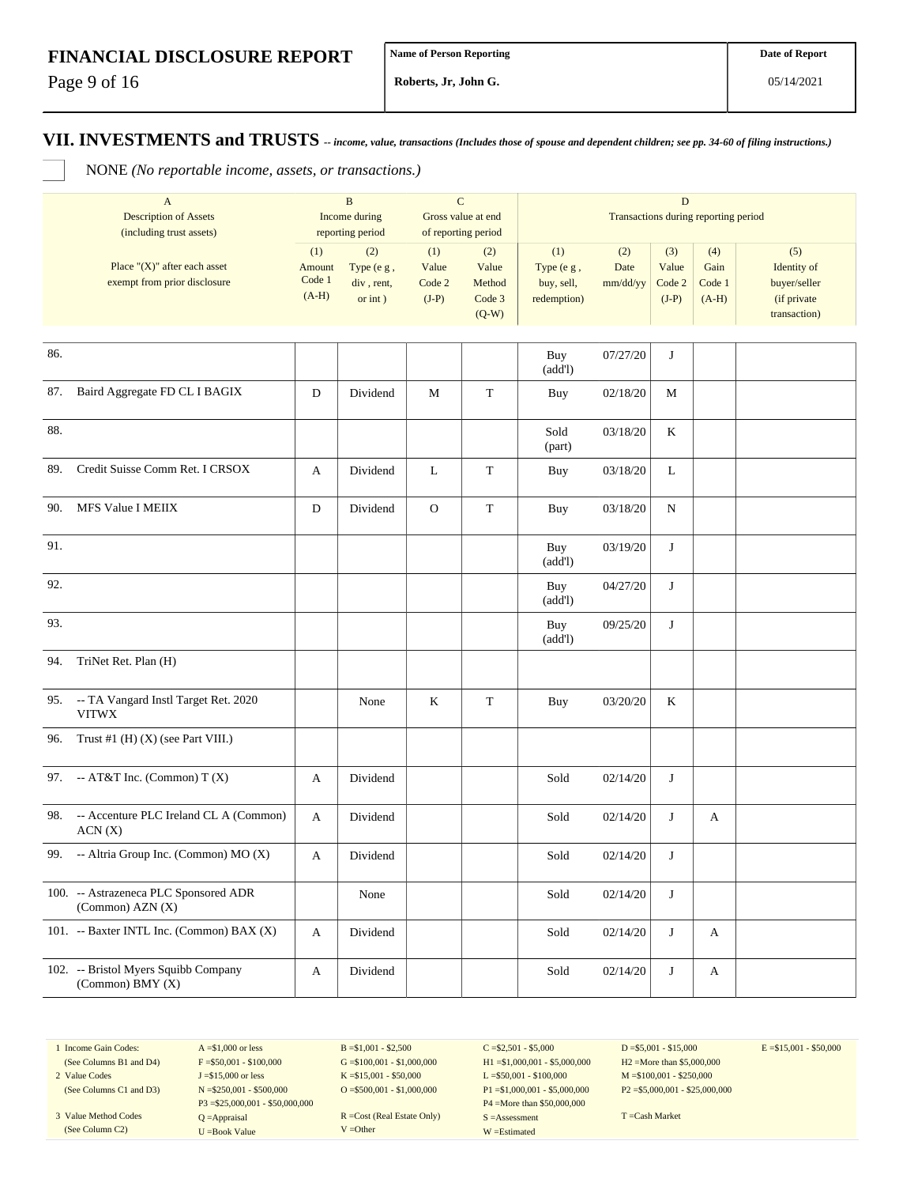Page 9 of 16

**Roberts, Jr, John G.**

#### **VII. INVESTMENTS and TRUSTS** *-- income, value, transactions (Includes those of spouse and dependent children; see pp. 34-60 of filing instructions.)*

NONE *(No reportable income, assets, or transactions.)*

|     | $\mathbf{A}$<br><b>Description of Assets</b><br>(including trust assets) |                                    | $\, {\bf B}$<br>Income during<br>reporting period |                                   | $\mathbf C$<br>Gross value at end<br>of reporting period |                                                | Transactions during reporting period |                                   |                                  |                                                                   |
|-----|--------------------------------------------------------------------------|------------------------------------|---------------------------------------------------|-----------------------------------|----------------------------------------------------------|------------------------------------------------|--------------------------------------|-----------------------------------|----------------------------------|-------------------------------------------------------------------|
|     | Place " $(X)$ " after each asset<br>exempt from prior disclosure         | (1)<br>Amount<br>Code 1<br>$(A-H)$ | (2)<br>Type (e g,<br>div, rent,<br>or $int$ )     | (1)<br>Value<br>Code 2<br>$(J-P)$ | (2)<br>Value<br>Method<br>Code 3<br>$(Q-W)$              | (1)<br>Type (e g,<br>buy, sell,<br>redemption) | (2)<br>Date<br>mm/dd/yy              | (3)<br>Value<br>Code 2<br>$(J-P)$ | (4)<br>Gain<br>Code 1<br>$(A-H)$ | (5)<br>Identity of<br>buyer/seller<br>(if private<br>transaction) |
| 86. |                                                                          |                                    |                                                   |                                   |                                                          | Buy<br>(add!)                                  | 07/27/20                             | J                                 |                                  |                                                                   |
| 87. | Baird Aggregate FD CL I BAGIX                                            | D                                  | Dividend                                          | M                                 | $\mathbf T$                                              | Buy                                            | 02/18/20                             | М                                 |                                  |                                                                   |
| 88. |                                                                          |                                    |                                                   |                                   |                                                          | Sold<br>(part)                                 | 03/18/20                             | K                                 |                                  |                                                                   |
| 89. | Credit Suisse Comm Ret. I CRSOX                                          | A                                  | Dividend                                          | L                                 | T                                                        | Buy                                            | 03/18/20                             | L                                 |                                  |                                                                   |
| 90. | MFS Value I MEIIX                                                        | D                                  | Dividend                                          | $\mathbf{O}$                      | $\mathbf T$                                              | Buy                                            | 03/18/20                             | N                                 |                                  |                                                                   |
| 91. |                                                                          |                                    |                                                   |                                   |                                                          | Buy<br>(add!)                                  | 03/19/20                             | J                                 |                                  |                                                                   |
| 92. |                                                                          |                                    |                                                   |                                   |                                                          | Buy<br>(add!)                                  | 04/27/20                             | J                                 |                                  |                                                                   |
| 93. |                                                                          |                                    |                                                   |                                   |                                                          | Buy<br>(add!)                                  | 09/25/20                             | J                                 |                                  |                                                                   |
| 94. | TriNet Ret. Plan (H)                                                     |                                    |                                                   |                                   |                                                          |                                                |                                      |                                   |                                  |                                                                   |
|     | 95. -- TA Vangard Instl Target Ret. 2020<br><b>VITWX</b>                 |                                    | None                                              | $\rm K$                           | $\mathbf T$                                              | Buy                                            | 03/20/20                             | K                                 |                                  |                                                                   |
| 96. | Trust #1 $(H)$ $(X)$ (see Part VIII.)                                    |                                    |                                                   |                                   |                                                          |                                                |                                      |                                   |                                  |                                                                   |
| 97. | -- AT&T Inc. (Common) $T(X)$                                             | A                                  | Dividend                                          |                                   |                                                          | Sold                                           | 02/14/20                             | J                                 |                                  |                                                                   |
| 98. | -- Accenture PLC Ireland CL A (Common)<br>ACN(X)                         | A                                  | Dividend                                          |                                   |                                                          | Sold                                           | 02/14/20                             | J                                 | A                                |                                                                   |
|     | 99. -- Altria Group Inc. (Common) MO (X)                                 | A                                  | Dividend                                          |                                   |                                                          | Sold                                           | 02/14/20                             | J                                 |                                  |                                                                   |
|     | 100. -- Astrazeneca PLC Sponsored ADR<br>$(Common)$ AZN $(X)$            |                                    | None                                              |                                   |                                                          | Sold                                           | 02/14/20                             | J                                 |                                  |                                                                   |
|     | 101. -- Baxter INTL Inc. (Common) BAX (X)                                | A                                  | Dividend                                          |                                   |                                                          | Sold                                           | 02/14/20                             | J                                 | A                                |                                                                   |
|     | 102. -- Bristol Myers Squibb Company<br>(Common) BMY (X)                 | A                                  | Dividend                                          |                                   |                                                          | Sold                                           | 02/14/20                             | $\mathbf{J}$                      | A                                |                                                                   |

1 Income Gain Codes: (See Columns B1 and D4)

2 Value Codes

(See Columns C1 and D3) 3 Value Method Codes (See Column C2)

 $A = $1,000$  or less  $F = $50,001 - $100,000$ J =\$15,000 or less N =\$250,001 - \$500,000 P3 =\$25,000,001 - \$50,000,000 Q =Appraisal U =Book Value

 $B = $1,001 - $2,500$  $G = $100,001 - $1,000,000$ K =\$15,001 - \$50,000 O =  $$500,001 - $1,000,000$ 

R =Cost (Real Estate Only) V =Other

 $C = $2,501 - $5,000$ H1 =\$1,000,001 - \$5,000,000 L =\$50,001 - \$100,000 P1 =\$1,000,001 - \$5,000,000 P4 =More than \$50,000,000 S =Assessment W =Estimated

 $D = $5,001 - $15,000$ H2 =More than \$5,000,000 M =\$100,001 - \$250,000 P2 =\$5,000,001 - \$25,000,000  $E = $15,001 - $50,000$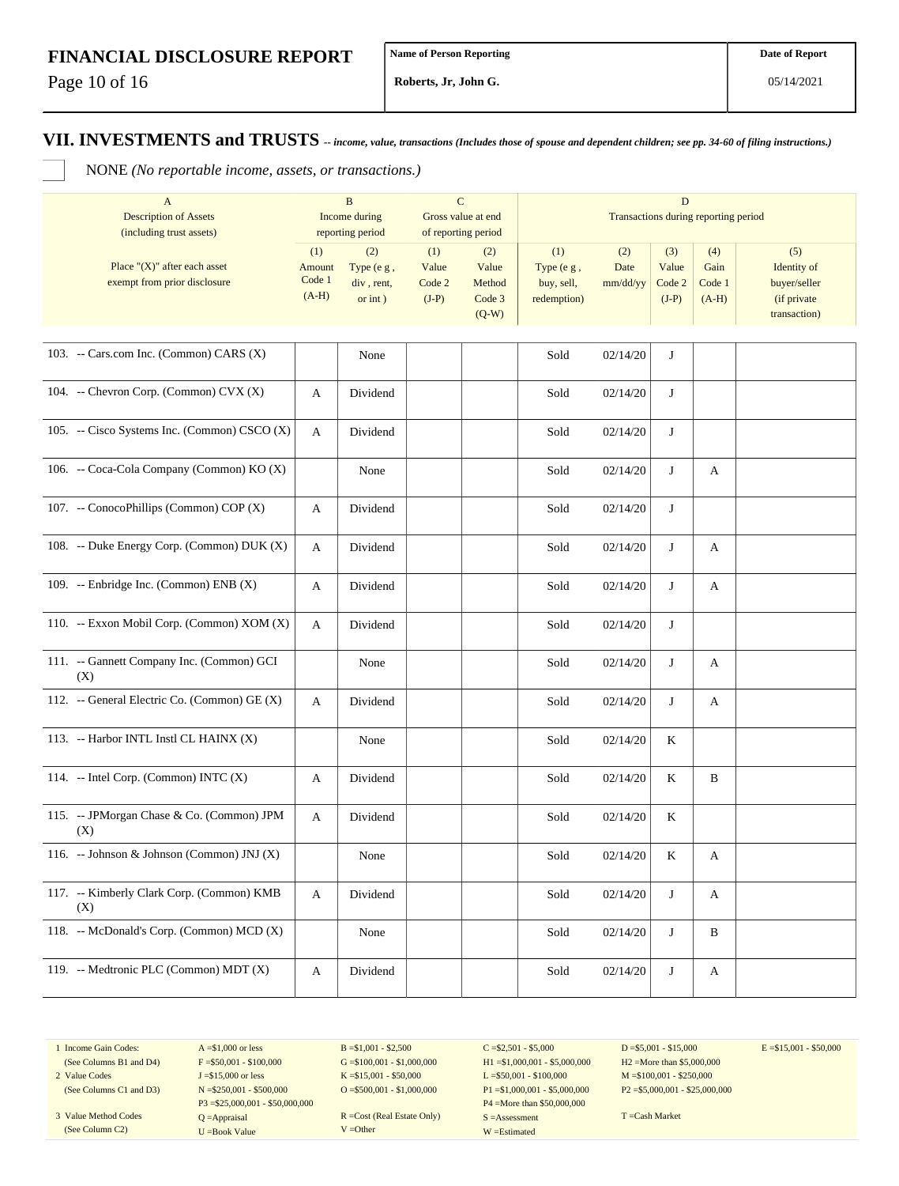Page 10 of 16

**Roberts, Jr, John G.**

**VII. INVESTMENTS and TRUSTS** *-- income, value, transactions (Includes those of spouse and dependent children; see pp. 34-60 of filing instructions.)*

NONE *(No reportable income, assets, or transactions.)*

| $\mathbf{A}$<br><b>Description of Assets</b><br>(including trust assets) |                                    | $\mathbf B$<br>Income during<br>reporting period |                                   | ${\bf C}$<br>Gross value at end<br>of reporting period |                                                | $\mathbf D$<br>Transactions during reporting period |                                   |                                  |                                                                   |  |
|--------------------------------------------------------------------------|------------------------------------|--------------------------------------------------|-----------------------------------|--------------------------------------------------------|------------------------------------------------|-----------------------------------------------------|-----------------------------------|----------------------------------|-------------------------------------------------------------------|--|
| Place " $(X)$ " after each asset<br>exempt from prior disclosure         | (1)<br>Amount<br>Code 1<br>$(A-H)$ | (2)<br>Type (e g,<br>div, rent,<br>or $int$ )    | (1)<br>Value<br>Code 2<br>$(J-P)$ | (2)<br>Value<br>Method<br>Code 3<br>$(Q-W)$            | (1)<br>Type (e g,<br>buy, sell,<br>redemption) | (2)<br>Date<br>mm/dd/yy                             | (3)<br>Value<br>Code 2<br>$(J-P)$ | (4)<br>Gain<br>Code 1<br>$(A-H)$ | (5)<br>Identity of<br>buyer/seller<br>(if private<br>transaction) |  |
| 103. -- Cars.com Inc. (Common) CARS (X)                                  |                                    | None                                             |                                   |                                                        | Sold                                           | 02/14/20                                            | J                                 |                                  |                                                                   |  |
| 104. -- Chevron Corp. (Common) CVX (X)                                   | A                                  | Dividend                                         |                                   |                                                        | Sold                                           | 02/14/20                                            | J                                 |                                  |                                                                   |  |
| 105. -- Cisco Systems Inc. (Common) CSCO (X)                             | $\boldsymbol{A}$                   | Dividend                                         |                                   |                                                        | Sold                                           | 02/14/20                                            | J                                 |                                  |                                                                   |  |
| 106. -- Coca-Cola Company (Common) KO (X)                                |                                    | None                                             |                                   |                                                        | Sold                                           | 02/14/20                                            | J                                 | A                                |                                                                   |  |
| 107. -- ConocoPhillips (Common) COP (X)                                  | A                                  | Dividend                                         |                                   |                                                        | Sold                                           | 02/14/20                                            | J                                 |                                  |                                                                   |  |
| 108. -- Duke Energy Corp. (Common) DUK (X)                               | A                                  | Dividend                                         |                                   |                                                        | Sold                                           | 02/14/20                                            | J                                 | A                                |                                                                   |  |
| 109. -- Enbridge Inc. (Common) ENB (X)                                   | A                                  | Dividend                                         |                                   |                                                        | Sold                                           | 02/14/20                                            | J                                 | A                                |                                                                   |  |
| 110. -- Exxon Mobil Corp. (Common) XOM (X)                               | A                                  | Dividend                                         |                                   |                                                        | Sold                                           | 02/14/20                                            | J                                 |                                  |                                                                   |  |
| 111. -- Gannett Company Inc. (Common) GCI<br>(X)                         |                                    | None                                             |                                   |                                                        | Sold                                           | 02/14/20                                            | J                                 | A                                |                                                                   |  |
| 112. -- General Electric Co. (Common) GE (X)                             | A                                  | Dividend                                         |                                   |                                                        | Sold                                           | 02/14/20                                            | J                                 | A                                |                                                                   |  |
| 113. -- Harbor INTL Instl CL HAINX (X)                                   |                                    | None                                             |                                   |                                                        | Sold                                           | 02/14/20                                            | K                                 |                                  |                                                                   |  |
| 114. -- Intel Corp. (Common) INTC (X)                                    | A                                  | Dividend                                         |                                   |                                                        | Sold                                           | 02/14/20                                            | K                                 | B                                |                                                                   |  |
| 115. -- JPMorgan Chase & Co. (Common) JPM<br>(X)                         | A                                  | Dividend                                         |                                   |                                                        | Sold                                           | 02/14/20                                            | K                                 |                                  |                                                                   |  |
| 116. -- Johnson & Johnson (Common) JNJ (X)                               |                                    | None                                             |                                   |                                                        | Sold                                           | 02/14/20                                            | K                                 | A                                |                                                                   |  |
| 117. -- Kimberly Clark Corp. (Common) KMB<br>(X)                         | A                                  | Dividend                                         |                                   |                                                        | Sold                                           | 02/14/20                                            | J                                 | A                                |                                                                   |  |
| 118. -- McDonald's Corp. (Common) MCD (X)                                |                                    | None                                             |                                   |                                                        | Sold                                           | 02/14/20                                            | J                                 | B                                |                                                                   |  |
| 119. -- Medtronic PLC (Common) MDT (X)                                   | A                                  | Dividend                                         |                                   |                                                        | Sold                                           | 02/14/20                                            | J                                 | A                                |                                                                   |  |

1 Income Gain Codes:

(See Columns B1 and D4) 2 Value Codes

(See Columns C1 and D3) 3 Value Method Codes (See Column C2)

 $A = $1,000$  or less  $F = $50,001 - $100,000$ J =\$15,000 or less N =\$250,001 - \$500,000 P3 =\$25,000,001 - \$50,000,000 Q =Appraisal U =Book Value

 $B = $1,001 - $2,500$  $G = $100,001 - $1,000,000$ K =\$15,001 - \$50,000 O =  $$500,001 - $1,000,000$ 

R =Cost (Real Estate Only) V =Other

 $C = $2,501 - $5,000$ H1 =\$1,000,001 - \$5,000,000 L =\$50,001 - \$100,000 P1 =\$1,000,001 - \$5,000,000 P4 =More than \$50,000,000 S =Assessment W =Estimated

 $D = $5,001 - $15,000$ H2 =More than \$5,000,000 M =\$100,001 - \$250,000 P2 =\$5,000,001 - \$25,000,000  $E = $15,001 - $50,000$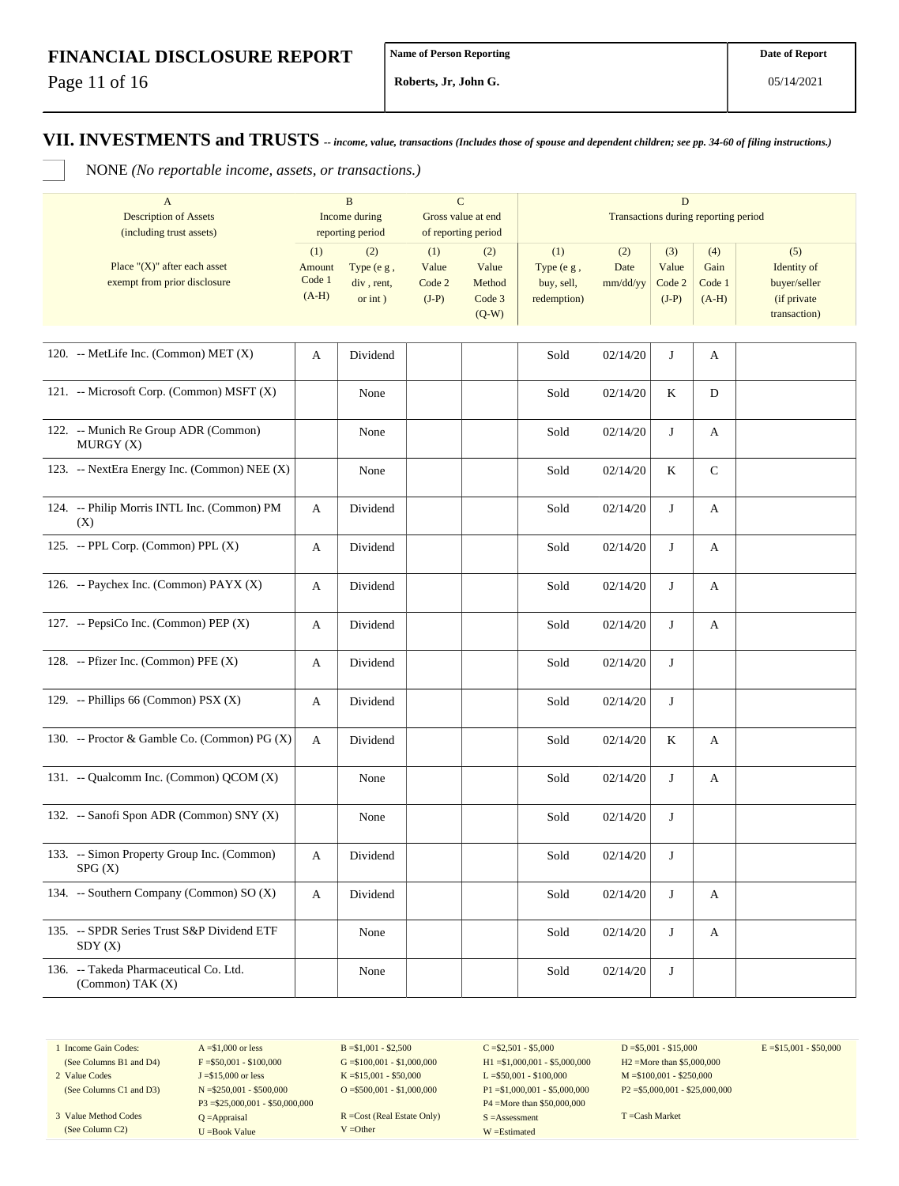Page 11 of 16

**Roberts, Jr, John G.**

#### **VII. INVESTMENTS and TRUSTS** *-- income, value, transactions (Includes those of spouse and dependent children; see pp. 34-60 of filing instructions.)*

NONE *(No reportable income, assets, or transactions.)*

| $\mathbf{A}$<br><b>Description of Assets</b><br>(including trust assets) |                                    | $\mathbf B$<br>Income during<br>reporting period | $\mathbf C$                       | Gross value at end<br>of reporting period   | D<br>Transactions during reporting period      |                         |                                   |                                  |                                                                   |  |
|--------------------------------------------------------------------------|------------------------------------|--------------------------------------------------|-----------------------------------|---------------------------------------------|------------------------------------------------|-------------------------|-----------------------------------|----------------------------------|-------------------------------------------------------------------|--|
| Place " $(X)$ " after each asset<br>exempt from prior disclosure         | (1)<br>Amount<br>Code 1<br>$(A-H)$ | (2)<br>Type (e g,<br>div, rent,<br>or $int$ )    | (1)<br>Value<br>Code 2<br>$(J-P)$ | (2)<br>Value<br>Method<br>Code 3<br>$(Q-W)$ | (1)<br>Type (e g,<br>buy, sell,<br>redemption) | (2)<br>Date<br>mm/dd/yy | (3)<br>Value<br>Code 2<br>$(J-P)$ | (4)<br>Gain<br>Code 1<br>$(A-H)$ | (5)<br>Identity of<br>buyer/seller<br>(if private<br>transaction) |  |
| 120. -- MetLife Inc. (Common) MET $(X)$                                  | A                                  | Dividend                                         |                                   |                                             | Sold                                           | 02/14/20                | J                                 | A                                |                                                                   |  |
| 121. -- Microsoft Corp. (Common) MSFT (X)                                |                                    | None                                             |                                   |                                             | Sold                                           | 02/14/20                | K                                 | D                                |                                                                   |  |
| 122. -- Munich Re Group ADR (Common)<br>MURGY(X)                         |                                    | None                                             |                                   |                                             | Sold                                           | 02/14/20                | J                                 | A                                |                                                                   |  |
| 123. -- NextEra Energy Inc. (Common) NEE (X)                             |                                    | None                                             |                                   |                                             | Sold                                           | 02/14/20                | K                                 | $\mathsf{C}$                     |                                                                   |  |
| 124. -- Philip Morris INTL Inc. (Common) PM<br>(X)                       | A                                  | Dividend                                         |                                   |                                             | Sold                                           | 02/14/20                | J                                 | A                                |                                                                   |  |
| 125. -- PPL Corp. (Common) PPL (X)                                       | A                                  | Dividend                                         |                                   |                                             | Sold                                           | 02/14/20                | J                                 | A                                |                                                                   |  |
| 126. -- Paychex Inc. (Common) PAYX (X)                                   | A                                  | Dividend                                         |                                   |                                             | Sold                                           | 02/14/20                | J                                 | A                                |                                                                   |  |
| 127. -- PepsiCo Inc. (Common) PEP (X)                                    | A                                  | Dividend                                         |                                   |                                             | Sold                                           | 02/14/20                | J                                 | A                                |                                                                   |  |
| 128. -- Pfizer Inc. (Common) PFE (X)                                     | A                                  | Dividend                                         |                                   |                                             | Sold                                           | 02/14/20                | J                                 |                                  |                                                                   |  |
| 129. -- Phillips 66 (Common) PSX (X)                                     | A                                  | Dividend                                         |                                   |                                             | Sold                                           | 02/14/20                | J                                 |                                  |                                                                   |  |
| 130. -- Proctor & Gamble Co. (Common) PG (X)                             | A                                  | Dividend                                         |                                   |                                             | Sold                                           | 02/14/20                | K                                 | A                                |                                                                   |  |
| 131. -- Qualcomm Inc. (Common) QCOM (X)                                  |                                    | None                                             |                                   |                                             | Sold                                           | 02/14/20                | J                                 | A                                |                                                                   |  |
| 132. -- Sanofi Spon ADR (Common) SNY (X)                                 |                                    | None                                             |                                   |                                             | Sold                                           | 02/14/20                | J                                 |                                  |                                                                   |  |
| 133. -- Simon Property Group Inc. (Common)<br>SPG(X)                     | A                                  | Dividend                                         |                                   |                                             | Sold                                           | 02/14/20                | J                                 |                                  |                                                                   |  |
| 134. -- Southern Company (Common) SO (X)                                 | A                                  | Dividend                                         |                                   |                                             | Sold                                           | 02/14/20                | J                                 | A                                |                                                                   |  |
| 135. -- SPDR Series Trust S&P Dividend ETF<br>SDY(X)                     |                                    | None                                             |                                   |                                             | Sold                                           | 02/14/20                | J                                 | A                                |                                                                   |  |
| 136. -- Takeda Pharmaceutical Co. Ltd.<br>$(Common)$ TAK $(X)$           |                                    | None                                             |                                   |                                             | Sold                                           | 02/14/20                | J                                 |                                  |                                                                   |  |

1 Income Gain Codes: (See Columns B1 and D4)

2 Value Codes

(See Columns C1 and D3) 3 Value Method Codes (See Column C2)

 $A = $1,000$  or less  $F = $50,001 - $100,000$ J =\$15,000 or less N =\$250,001 - \$500,000 P3 =\$25,000,001 - \$50,000,000 Q =Appraisal U =Book Value

 $B = $1,001 - $2,500$  $G = $100,001 - $1,000,000$ K =\$15,001 - \$50,000 O =  $$500,001 - $1,000,000$ 

R =Cost (Real Estate Only) V =Other

 $C = $2,501 - $5,000$ H1 =\$1,000,001 - \$5,000,000 L =\$50,001 - \$100,000 P1 =\$1,000,001 - \$5,000,000 P4 =More than \$50,000,000 S =Assessment W =Estimated

 $D = $5,001 - $15,000$ H2 =More than \$5,000,000 M =\$100,001 - \$250,000 P2 =\$5,000,001 - \$25,000,000  $E = $15,001 - $50,000$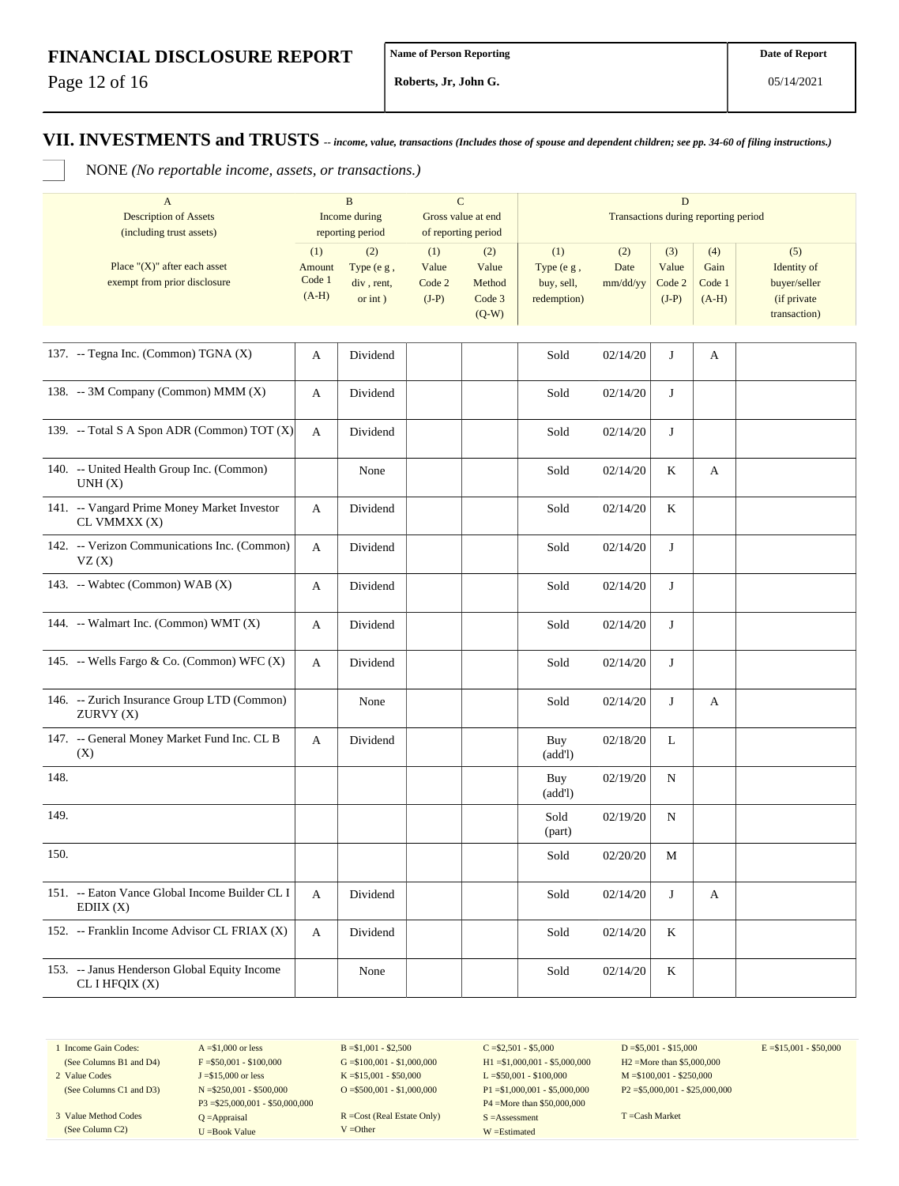Page 12 of 16

**Roberts, Jr, John G.**

**VII. INVESTMENTS and TRUSTS** *-- income, value, transactions (Includes those of spouse and dependent children; see pp. 34-60 of filing instructions.)*

NONE *(No reportable income, assets, or transactions.)*

| $\mathbf{A}$<br><b>Description of Assets</b><br>(including trust assets) |                                    | $\mathbf B$<br>Income during<br>reporting period |                                   | ${\bf C}$<br>Gross value at end<br>of reporting period |                                                | D<br>Transactions during reporting period |                                   |                                  |                                                                   |  |
|--------------------------------------------------------------------------|------------------------------------|--------------------------------------------------|-----------------------------------|--------------------------------------------------------|------------------------------------------------|-------------------------------------------|-----------------------------------|----------------------------------|-------------------------------------------------------------------|--|
| Place " $(X)$ " after each asset<br>exempt from prior disclosure         | (1)<br>Amount<br>Code 1<br>$(A-H)$ | (2)<br>Type (e g,<br>div, rent,<br>$or$ int $)$  | (1)<br>Value<br>Code 2<br>$(J-P)$ | (2)<br>Value<br>Method<br>Code 3<br>$(Q-W)$            | (1)<br>Type (e g,<br>buy, sell,<br>redemption) | (2)<br>Date<br>mm/dd/yy                   | (3)<br>Value<br>Code 2<br>$(J-P)$ | (4)<br>Gain<br>Code 1<br>$(A-H)$ | (5)<br>Identity of<br>buyer/seller<br>(if private<br>transaction) |  |
| 137. -- Tegna Inc. (Common) TGNA (X)                                     | A                                  | Dividend                                         |                                   |                                                        | Sold                                           | 02/14/20                                  | J                                 | A                                |                                                                   |  |
| 138. -- 3M Company (Common) MMM (X)                                      | A                                  | Dividend                                         |                                   |                                                        | Sold                                           | 02/14/20                                  | J                                 |                                  |                                                                   |  |
| 139. -- Total S A Spon ADR (Common) TOT (X)                              | A                                  | Dividend                                         |                                   |                                                        | Sold                                           | 02/14/20                                  | J                                 |                                  |                                                                   |  |
| 140. -- United Health Group Inc. (Common)<br>UNH(X)                      |                                    | None                                             |                                   |                                                        | Sold                                           | 02/14/20                                  | K                                 | A                                |                                                                   |  |
| 141. -- Vangard Prime Money Market Investor<br>CL VMMXX (X)              | A                                  | Dividend                                         |                                   |                                                        | Sold                                           | 02/14/20                                  | K                                 |                                  |                                                                   |  |
| 142. -- Verizon Communications Inc. (Common)<br>VZ(X)                    | A                                  | Dividend                                         |                                   |                                                        | Sold                                           | 02/14/20                                  | J                                 |                                  |                                                                   |  |
| 143. -- Wabtec (Common) WAB $(X)$                                        | A                                  | Dividend                                         |                                   |                                                        | Sold                                           | 02/14/20                                  | J                                 |                                  |                                                                   |  |
| 144. -- Walmart Inc. (Common) WMT (X)                                    | A                                  | Dividend                                         |                                   |                                                        | Sold                                           | 02/14/20                                  | J                                 |                                  |                                                                   |  |
| 145. -- Wells Fargo & Co. (Common) WFC (X)                               | A                                  | Dividend                                         |                                   |                                                        | Sold                                           | 02/14/20                                  | J                                 |                                  |                                                                   |  |
| 146. -- Zurich Insurance Group LTD (Common)<br>ZURVY(X)                  |                                    | None                                             |                                   |                                                        | Sold                                           | 02/14/20                                  | J                                 | A                                |                                                                   |  |
| 147. -- General Money Market Fund Inc. CL B<br>(X)                       | A                                  | Dividend                                         |                                   |                                                        | Buy<br>(add!)                                  | 02/18/20                                  | L                                 |                                  |                                                                   |  |
| 148.                                                                     |                                    |                                                  |                                   |                                                        | Buy<br>(add!)                                  | 02/19/20                                  | N                                 |                                  |                                                                   |  |
| 149.                                                                     |                                    |                                                  |                                   |                                                        | Sold<br>(part)                                 | 02/19/20                                  | N                                 |                                  |                                                                   |  |
| 150.                                                                     |                                    |                                                  |                                   |                                                        | Sold                                           | 02/20/20                                  | М                                 |                                  |                                                                   |  |
| 151. -- Eaton Vance Global Income Builder CL I<br>EDIX(X)                | A                                  | Dividend                                         |                                   |                                                        | Sold                                           | 02/14/20                                  | J                                 | A                                |                                                                   |  |
| 152. -- Franklin Income Advisor CL FRIAX (X)                             | A                                  | Dividend                                         |                                   |                                                        | Sold                                           | 02/14/20                                  | K                                 |                                  |                                                                   |  |
| 153. -- Janus Henderson Global Equity Income<br>CL I HFQIX (X)           |                                    | None                                             |                                   |                                                        | Sold                                           | 02/14/20                                  | K                                 |                                  |                                                                   |  |

1 Income Gain Codes: (See Columns B1 and D4)

2 Value Codes

(See Columns C1 and D3) 3 Value Method Codes (See Column C2)

 $A = $1,000$  or less  $F = $50,001 - $100,000$ J =\$15,000 or less N =\$250,001 - \$500,000 P3 =\$25,000,001 - \$50,000,000 Q =Appraisal U =Book Value

 $B = $1,001 - $2,500$  $G = $100,001 - $1,000,000$ K =\$15,001 - \$50,000 O =  $$500,001 - $1,000,000$ 

R =Cost (Real Estate Only) V =Other

 $C = $2,501 - $5,000$ H1 =\$1,000,001 - \$5,000,000 L =\$50,001 - \$100,000 P1 =\$1,000,001 - \$5,000,000 P4 =More than \$50,000,000 S =Assessment W =Estimated

 $D = $5,001 - $15,000$ H2 =More than \$5,000,000 M =\$100,001 - \$250,000 P2 =\$5,000,001 - \$25,000,000  $E = $15,001 - $50,000$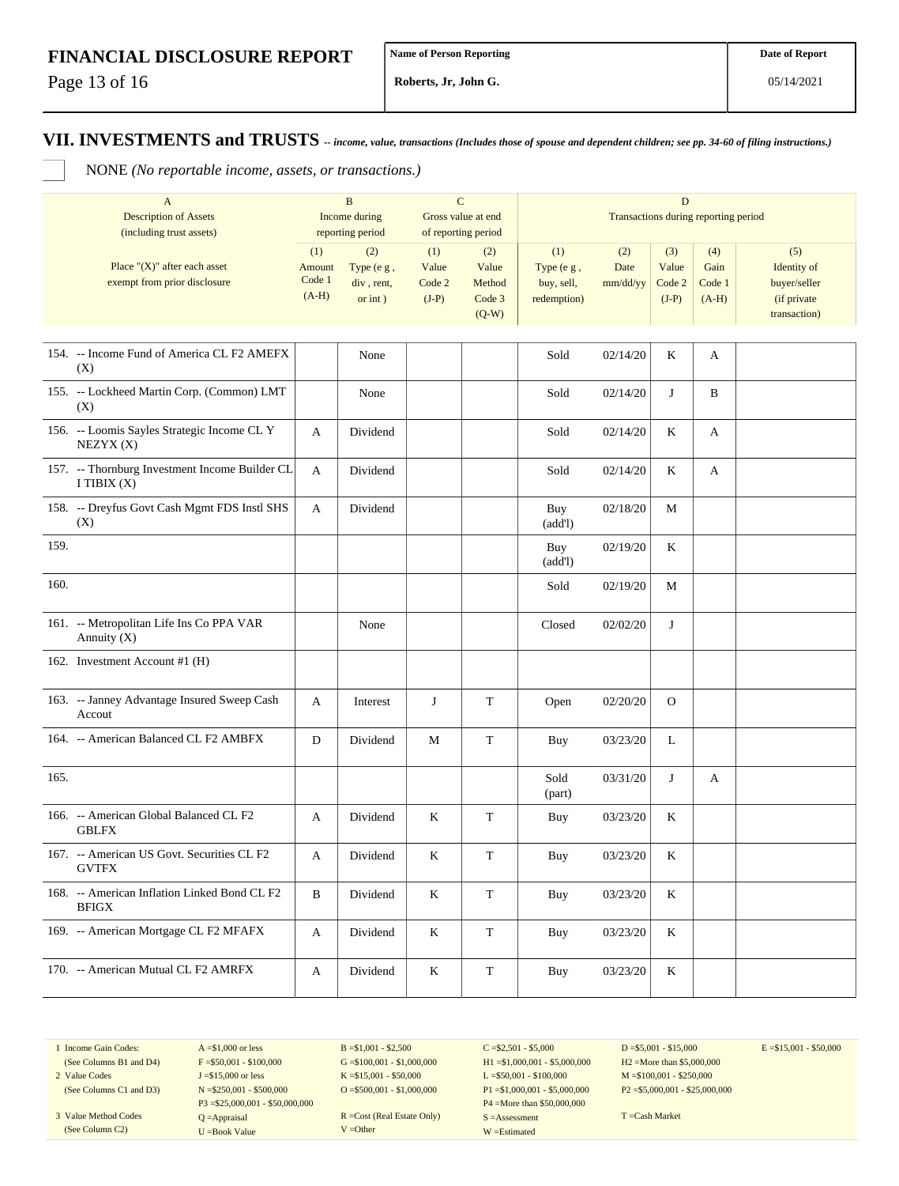Page 13 of 16

**Roberts, Jr, John G.**

### **VII. INVESTMENTS and TRUSTS** *-- income, value, transactions (Includes those of spouse and dependent children; see pp. 34-60 of filing instructions.)*

NONE *(No reportable income, assets, or transactions.)*

|      | $\mathbf{A}$<br><b>Description of Assets</b><br>(including trust assets) |                                    | $\mathbf B$<br>Income during<br>reporting period | $\mathbf C$<br>Gross value at end<br>of reporting period |                                             |                                                | Transactions during reporting period |                                   |                                  |                                                                   |
|------|--------------------------------------------------------------------------|------------------------------------|--------------------------------------------------|----------------------------------------------------------|---------------------------------------------|------------------------------------------------|--------------------------------------|-----------------------------------|----------------------------------|-------------------------------------------------------------------|
|      | Place " $(X)$ " after each asset<br>exempt from prior disclosure         | (1)<br>Amount<br>Code 1<br>$(A-H)$ | (2)<br>Type (e g,<br>div, rent,<br>or $int$ )    | (1)<br>Value<br>Code 2<br>$(J-P)$                        | (2)<br>Value<br>Method<br>Code 3<br>$(Q-W)$ | (1)<br>Type (e g,<br>buy, sell,<br>redemption) | (2)<br>Date<br>mm/dd/yy              | (3)<br>Value<br>Code 2<br>$(J-P)$ | (4)<br>Gain<br>Code 1<br>$(A-H)$ | (5)<br>Identity of<br>buyer/seller<br>(if private<br>transaction) |
|      | 154. -- Income Fund of America CL F2 AMEFX<br>(X)                        |                                    | None                                             |                                                          |                                             | Sold                                           | 02/14/20                             | K                                 | A                                |                                                                   |
|      | 155. -- Lockheed Martin Corp. (Common) LMT<br>(X)                        |                                    | None                                             |                                                          |                                             | Sold                                           | 02/14/20                             | J                                 | B                                |                                                                   |
|      | 156. -- Loomis Sayles Strategic Income CL Y<br>NEZYX(X)                  | A                                  | Dividend                                         |                                                          |                                             | Sold                                           | 02/14/20                             | K                                 | A                                |                                                                   |
|      | 157. -- Thornburg Investment Income Builder CL<br>I TIBIX $(X)$          | A                                  | Dividend                                         |                                                          |                                             | Sold                                           | 02/14/20                             | K                                 | A                                |                                                                   |
|      | 158. -- Dreyfus Govt Cash Mgmt FDS Instl SHS<br>(X)                      | A                                  | Dividend                                         |                                                          |                                             | Buy<br>(add!)                                  | 02/18/20                             | М                                 |                                  |                                                                   |
| 159. |                                                                          |                                    |                                                  |                                                          |                                             | Buy<br>(add!)                                  | 02/19/20                             | K                                 |                                  |                                                                   |
| 160. |                                                                          |                                    |                                                  |                                                          |                                             | Sold                                           | 02/19/20                             | М                                 |                                  |                                                                   |
|      | 161. -- Metropolitan Life Ins Co PPA VAR<br>Annuity $(X)$                |                                    | None                                             |                                                          |                                             | Closed                                         | 02/02/20                             | J                                 |                                  |                                                                   |
|      | 162. Investment Account #1 (H)                                           |                                    |                                                  |                                                          |                                             |                                                |                                      |                                   |                                  |                                                                   |
|      | 163. -- Janney Advantage Insured Sweep Cash<br>Accout                    | A                                  | Interest                                         | J                                                        | T                                           | Open                                           | 02/20/20                             | $\mathbf{O}$                      |                                  |                                                                   |
|      | 164. -- American Balanced CL F2 AMBFX                                    | D                                  | Dividend                                         | M                                                        | $\mathbf T$                                 | Buy                                            | 03/23/20                             | L                                 |                                  |                                                                   |
| 165. |                                                                          |                                    |                                                  |                                                          |                                             | Sold<br>(part)                                 | 03/31/20                             | J                                 | А                                |                                                                   |
|      | 166. -- American Global Balanced CL F2<br><b>GBLFX</b>                   | A                                  | Dividend                                         | K                                                        | $\mathbf T$                                 | Buy                                            | 03/23/20                             | K                                 |                                  |                                                                   |
|      | 167. -- American US Govt. Securities CL F2<br><b>GVTFX</b>               | A                                  | Dividend                                         | K                                                        | T                                           | Buy                                            | 03/23/20                             | K                                 |                                  |                                                                   |
|      | 168. -- American Inflation Linked Bond CL F2<br><b>BFIGX</b>             | $\, {\bf B}$                       | Dividend                                         | $\rm K$                                                  | $\mathbf T$                                 | Buy                                            | 03/23/20                             | $\rm K$                           |                                  |                                                                   |
|      | 169. -- American Mortgage CL F2 MFAFX                                    | A                                  | Dividend                                         | $\rm K$                                                  | $\mathbf T$                                 | Buy                                            | 03/23/20                             | K                                 |                                  |                                                                   |
|      | 170. -- American Mutual CL F2 AMRFX                                      | A                                  | Dividend                                         | $\bf K$                                                  | $\mathbf T$                                 | Buy                                            | 03/23/20                             | $\rm K$                           |                                  |                                                                   |

1 Income Gain Codes: (See Columns B1 and D4)

2 Value Codes

(See Columns C1 and D3) 3 Value Method Codes (See Column C2)

 $A = $1,000$  or less  $F = $50,001 - $100,000$ J =\$15,000 or less N =\$250,001 - \$500,000 P3 =\$25,000,001 - \$50,000,000 Q =Appraisal U =Book Value

 $B = $1,001 - $2,500$  $G = $100,001 - $1,000,000$ K =\$15,001 - \$50,000 O =  $$500,001 - $1,000,000$ 

R =Cost (Real Estate Only) V =Other

 $C = $2,501 - $5,000$ H1 =\$1,000,001 - \$5,000,000 L =\$50,001 - \$100,000 P1 =\$1,000,001 - \$5,000,000 P4 =More than \$50,000,000 S =Assessment W =Estimated

 $D = $5,001 - $15,000$ H2 =More than \$5,000,000 M =\$100,001 - \$250,000 P2 =\$5,000,001 - \$25,000,000  $E = $15,001 - $50,000$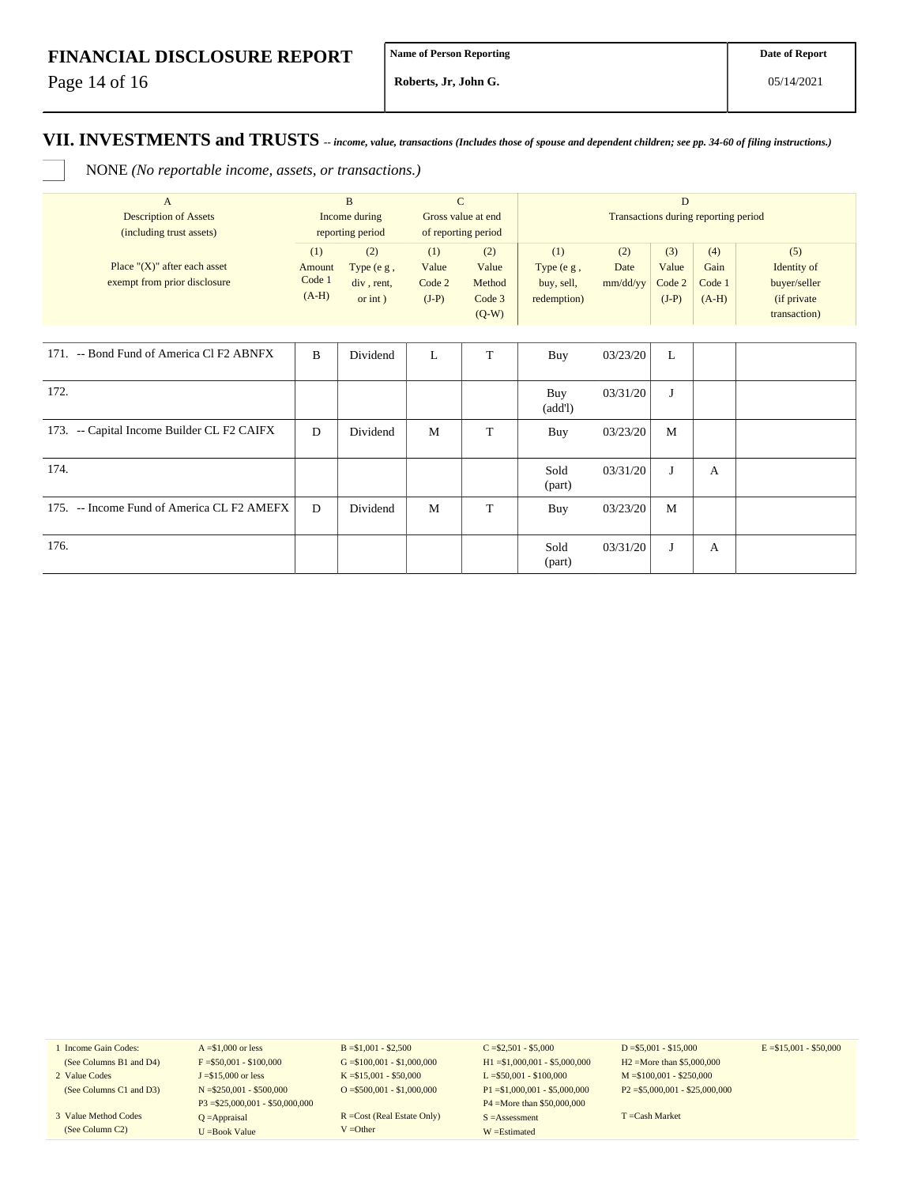Page 14 of 16

**Roberts, Jr, John G.**

#### **VII. INVESTMENTS and TRUSTS** *-- income, value, transactions (Includes those of spouse and dependent children; see pp. 34-60 of filing instructions.)*

NONE *(No reportable income, assets, or transactions.)*

| $\mathbf{A}$<br><b>Description of Assets</b><br>(including trust assets) | B<br>Income during<br>reporting period |                                               | $\mathbf C$<br>Gross value at end<br>of reporting period |                                             | D<br>Transactions during reporting period        |                         |                                   |                                  |                                                                    |  |
|--------------------------------------------------------------------------|----------------------------------------|-----------------------------------------------|----------------------------------------------------------|---------------------------------------------|--------------------------------------------------|-------------------------|-----------------------------------|----------------------------------|--------------------------------------------------------------------|--|
| Place " $(X)$ " after each asset<br>exempt from prior disclosure         | (1)<br>Amount<br>Code 1<br>$(A-H)$     | (2)<br>Type (e g,<br>div, rent,<br>or $int$ ) | (1)<br>Value<br>Code 2<br>$(J-P)$                        | (2)<br>Value<br>Method<br>Code 3<br>$(Q-W)$ | (1)<br>Type $(e g,$<br>buy, sell,<br>redemption) | (2)<br>Date<br>mm/dd/yy | (3)<br>Value<br>Code 2<br>$(J-P)$ | (4)<br>Gain<br>Code 1<br>$(A-H)$ | (5)<br>Identity of<br>buyer/seller<br>(if private)<br>transaction) |  |
| 171. -- Bond Fund of America Cl F2 ABNFX                                 | B                                      | Dividend                                      | L                                                        | T                                           | Buy                                              | 03/23/20                | L                                 |                                  |                                                                    |  |
| 172.                                                                     |                                        |                                               |                                                          |                                             | Buy<br>(add!)                                    | 03/31/20                | J                                 |                                  |                                                                    |  |
| 173. -- Capital Income Builder CL F2 CAIFX                               | D                                      | Dividend                                      | M                                                        | T                                           | Buy                                              | 03/23/20                | M                                 |                                  |                                                                    |  |
| 174.                                                                     |                                        |                                               |                                                          |                                             | Sold<br>(part)                                   | 03/31/20                | J                                 | A                                |                                                                    |  |
| 175. -- Income Fund of America CL F2 AMEFX                               | D                                      | Dividend                                      | M                                                        | T                                           | Buy                                              | 03/23/20                | M                                 |                                  |                                                                    |  |
| 176.                                                                     |                                        |                                               |                                                          |                                             | Sold<br>(part)                                   | 03/31/20                | J                                 | $\mathbf{A}$                     |                                                                    |  |

1 Income Gain Codes: (See Columns B1 and D4)

- 2 Value Codes (See Columns C1 and D3)
- 3 Value Method Codes (See Column C2)

 $A = $1,000$  or less  $F = $50,001 - $100,000$ J =\$15,000 or less N =\$250,001 - \$500,000 P3 =\$25,000,001 - \$50,000,000 Q =Appraisal U =Book Value

B =\$1,001 - \$2,500  $G = $100,001 - $1,000,000$ K =\$15,001 - \$50,000 O =  $$500,001 - $1,000,000$ 

R =Cost (Real Estate Only) V =Other

 $C = $2,501 - $5,000$ H1 =\$1,000,001 - \$5,000,000 L =\$50,001 - \$100,000 P1 =\$1,000,001 - \$5,000,000 P4 =More than \$50,000,000 S =Assessment W =Estimated

 $D = $5,001 - $15,000$ H2 =More than \$5,000,000 M =\$100,001 - \$250,000 P2 =\$5,000,001 - \$25,000,000  $E = $15,001 - $50,000$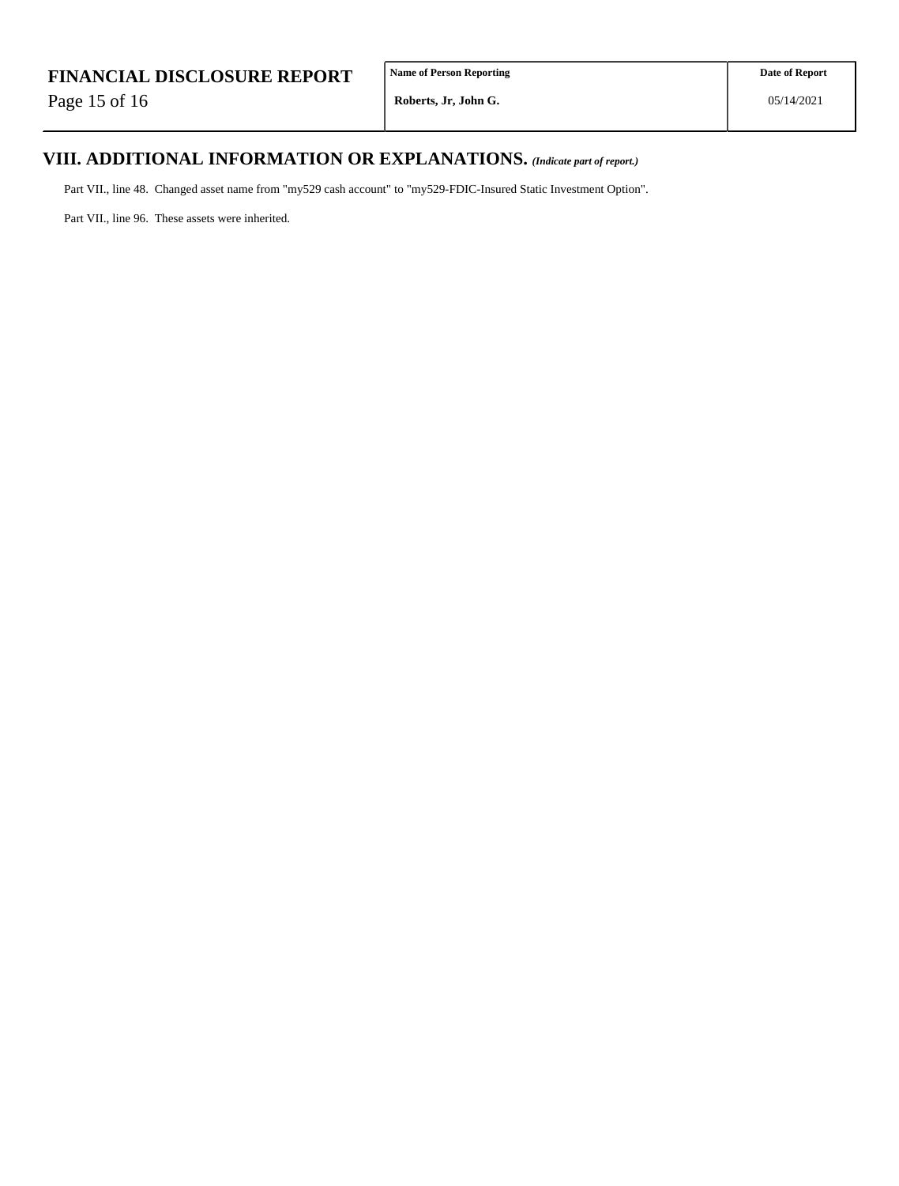Page 15 of 16

# **VIII. ADDITIONAL INFORMATION OR EXPLANATIONS.** *(Indicate part of report.)*

Part VII., line 48. Changed asset name from "my529 cash account" to "my529-FDIC-Insured Static Investment Option".

Part VII., line 96. These assets were inherited.